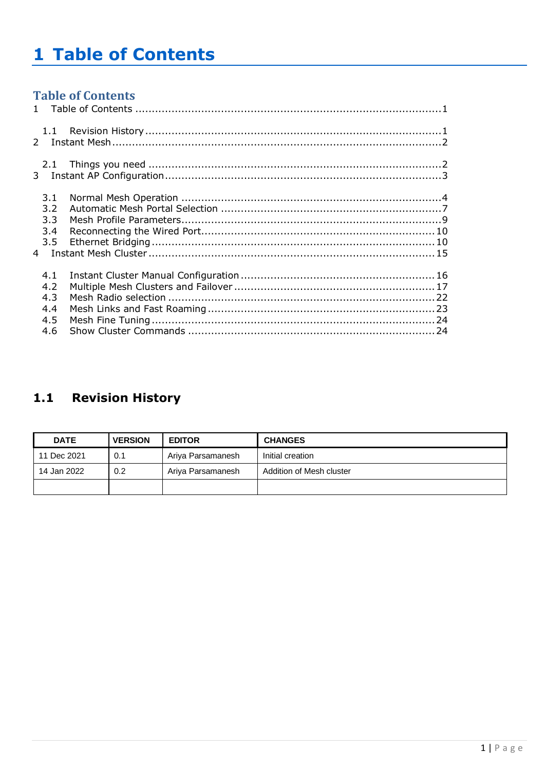# <span id="page-0-0"></span>**1 Table of Contents**

# **Table of Contents**

| 2.1           |  |
|---------------|--|
|               |  |
| 3.1           |  |
| 3.2           |  |
| 3.3           |  |
| 3.4           |  |
| $3.5^{\circ}$ |  |
|               |  |
| 4.1           |  |
| 4.2           |  |
| 4.3           |  |
| 4.4           |  |
| 4.5           |  |
| 4.6           |  |
|               |  |

# <span id="page-0-1"></span>1.1 Revision History

| <b>DATE</b> | <b>VERSION</b> | <b>EDITOR</b>     | <b>CHANGES</b>           |
|-------------|----------------|-------------------|--------------------------|
| 11 Dec 2021 | 0.1            | Ariya Parsamanesh | Initial creation         |
| 14 Jan 2022 | 0.2            | Ariya Parsamanesh | Addition of Mesh cluster |
|             |                |                   |                          |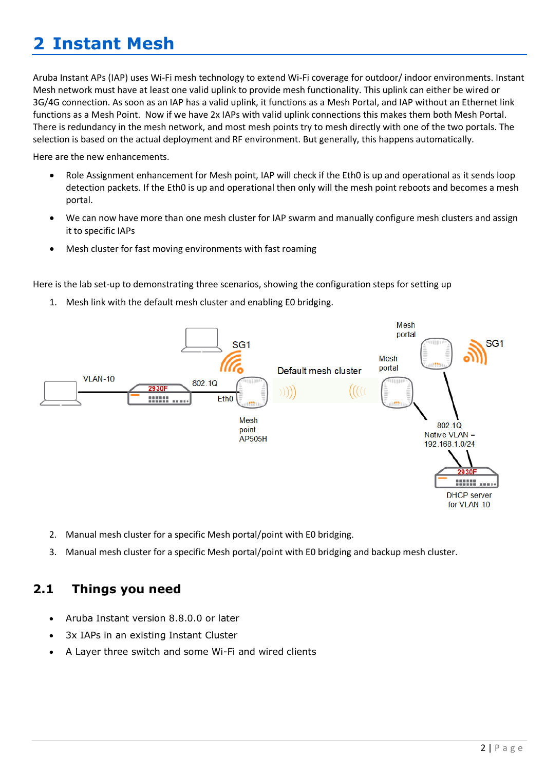# <span id="page-1-0"></span>**2 Instant Mesh**

Aruba Instant APs (IAP) uses Wi-Fi mesh technology to extend Wi-Fi coverage for outdoor/ indoor environments. Instant Mesh network must have at least one valid uplink to provide mesh functionality. This uplink can either be wired or 3G/4G connection. As soon as an IAP has a valid uplink, it functions as a Mesh Portal, and IAP without an Ethernet link functions as a Mesh Point. Now if we have 2x IAPs with valid uplink connections this makes them both Mesh Portal. There is redundancy in the mesh network, and most mesh points try to mesh directly with one of the two portals. The selection is based on the actual deployment and RF environment. But generally, this happens automatically.

Here are the new enhancements.

- Role Assignment enhancement for Mesh point, IAP will check if the Eth0 is up and operational as it sends loop detection packets. If the Eth0 is up and operational then only will the mesh point reboots and becomes a mesh portal.
- We can now have more than one mesh cluster for IAP swarm and manually configure mesh clusters and assign it to specific IAPs
- Mesh cluster for fast moving environments with fast roaming

Here is the lab set-up to demonstrating three scenarios, showing the configuration steps for setting up

1. Mesh link with the default mesh cluster and enabling E0 bridging.



- 2. Manual mesh cluster for a specific Mesh portal/point with E0 bridging.
- 3. Manual mesh cluster for a specific Mesh portal/point with E0 bridging and backup mesh cluster.

# <span id="page-1-1"></span>**2.1 Things you need**

- Aruba Instant version 8.8.0.0 or later
- 3x IAPs in an existing Instant Cluster
- A Layer three switch and some Wi-Fi and wired clients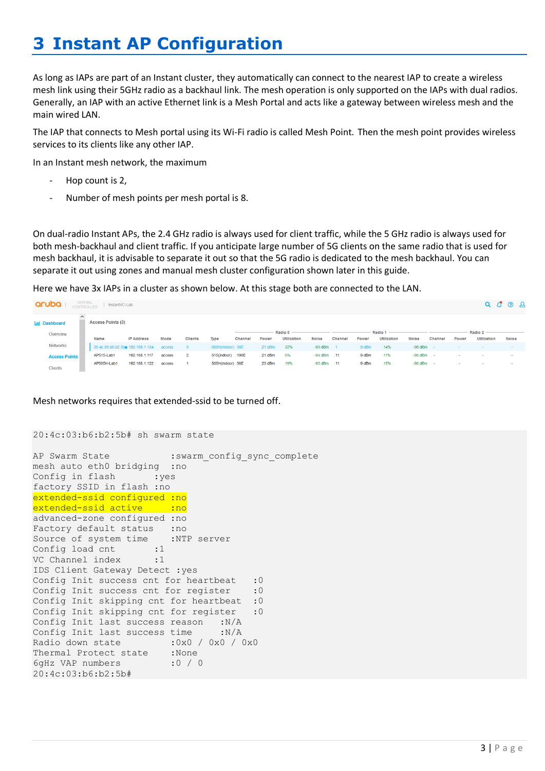# <span id="page-2-0"></span>**3 Instant AP Configuration**

As long as IAPs are part of an Instant cluster, they automatically can connect to the nearest IAP to create a wireless mesh link using their 5GHz radio as a backhaul link. The mesh operation is only supported on the IAPs with dual radios. Generally, an IAP with an active Ethernet link is a Mesh Portal and acts like a gateway between wireless mesh and the main wired LAN.

The IAP that connects to Mesh portal using its Wi-Fi radio is called Mesh Point. Then the mesh point provides wireless services to its clients like any other IAP.

In an Instant mesh network, the maximum

- Hop count is 2.
- Number of mesh points per mesh portal is 8.

On dual-radio Instant APs, the 2.4 GHz radio is always used for client traffic, while the 5 GHz radio is always used for both mesh-backhaul and client traffic. If you anticipate large number of 5G clients on the same radio that is used for mesh backhaul, it is advisable to separate it out so that the 5G radio is dedicated to the mesh backhaul. You can separate it out using zones and manual mesh cluster configuration shown later in this guide.

Here we have 3x IAPs in a cluster as shown below. At this stage both are connected to the LAN.

| VIRTUAL<br>CONTROLLER<br>aruba<br>InstantVC-Lab |  |                                         |                   |        |                |                  |         |        |                               |                |                |       | $Q$ $C$ $Q$ $Q$                   |               |         |       |                                   |              |
|-------------------------------------------------|--|-----------------------------------------|-------------------|--------|----------------|------------------|---------|--------|-------------------------------|----------------|----------------|-------|-----------------------------------|---------------|---------|-------|-----------------------------------|--------------|
| <b>India Dashboard</b>                          |  | <b>Access Points (3)</b>                |                   |        |                |                  |         |        |                               |                |                |       |                                   |               |         |       |                                   |              |
| Overview                                        |  | Name                                    | <b>IP Address</b> | Mode   | <b>Clients</b> | Type             | Channel | Power  | Radio 0<br><b>Utilization</b> | <b>Noise</b>   | <b>Channel</b> | Power | Radio $1 -$<br><b>Utilization</b> | <b>Noise</b>  | Channel | Power | Radio $2 -$<br><b>Utilization</b> | <b>Noise</b> |
| Networks                                        |  | 20:4c:03:b6:b2:5b* 192.168.1.124 access |                   |        | -5.            | 505H(indoor) 36E |         | 21 dBm | 22%                           | $-93$ dBm      |                | 9 dBm | 14%                               | $-98$ dBm     |         |       |                                   |              |
| <b>Access Points</b>                            |  | AP515-Lab1                              | 192.168.1.117     | access | $\overline{2}$ | 515(indoor) 100E |         | 21 dBm | 6%                            | $-94$ dBm $11$ |                | 9 dBm | 11%                               | $-98$ dBm $-$ |         |       |                                   |              |
| Clients                                         |  | AP505H-Lab1                             | 192.168.1.122     | access |                | 505H(indoor) 36E |         | 23 dBm | 19%                           | $-93$ dBm $11$ |                | 9 dBm | 15%                               | $-98$ dBm $-$ |         | . .   | . .                               |              |

Mesh networks requires that extended-ssid to be turned off.

```
20:4c:03:b6:b2:5b# sh swarm state
```

```
AP Swarm State : swarm config sync complete
mesh auto eth0 bridging :no
Config in flash :yes
factory SSID in flash :no
extended-ssid configured :no
extended-ssid active : no
advanced-zone configured :no
Factory default status : no
Source of system time :NTP server
Config load cnt :1
VC Channel index :1
IDS Client Gateway Detect :yes
Config Init success cnt for heartbeat : 0
Config Init success cnt for register : 0
Config Init skipping cnt for heartbeat :0
Config Init skipping cnt for register : 0
Config Init last success reason :N/A
Config Init last success time :N/A
Radio down state :0x0 / 0x0 / 0x0Thermal Protect state :None
6gHz VAP numbers :0 / 0
20:4c:03:b6:b2:5b#
```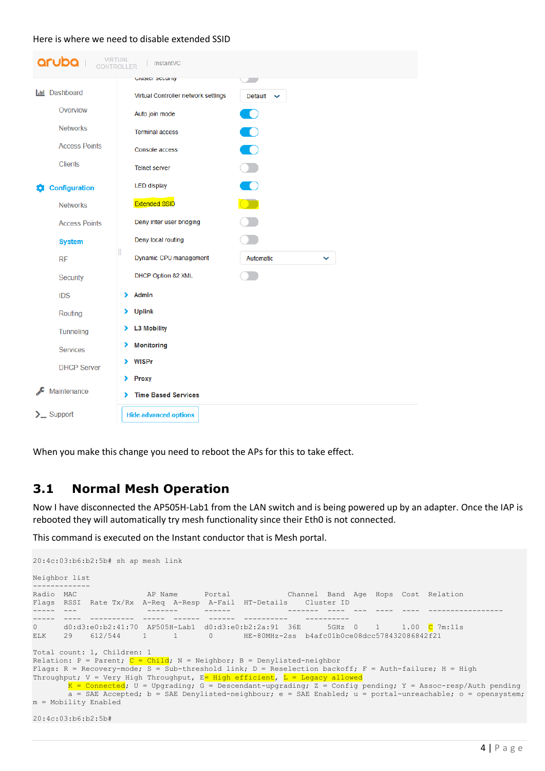### Here is where we need to disable extended SSID

|   | <b>VIRTUAL</b><br>aruba <b>1</b><br><b>CONTROLLER</b> | InstantVC                                             |  |
|---|-------------------------------------------------------|-------------------------------------------------------|--|
|   |                                                       | Glubici Scuulity<br>-                                 |  |
|   | <b>Ltd</b> Dashboard                                  | Virtual Controller network settings<br>Default $\vee$ |  |
|   | Overview                                              | $\bullet$<br>Auto join mode                           |  |
|   | <b>Networks</b>                                       | $\bigcirc$<br><b>Terminal access</b>                  |  |
|   | <b>Access Points</b>                                  | $\bigcirc$<br><b>Console access</b>                   |  |
|   | <b>Clients</b>                                        | $\Box$<br><b>Telnet server</b>                        |  |
| о | <b>Configuration</b>                                  | $\overline{\phantom{a}}$<br><b>LED display</b>        |  |
|   | <b>Networks</b>                                       | $\bigcirc$<br><b>Extended SSID</b>                    |  |
|   | <b>Access Points</b>                                  | $\mathbf{L}$<br>Deny inter user bridging              |  |
|   | <b>System</b>                                         | Deny local routing                                    |  |
|   | <b>RF</b>                                             | Dynamic CPU management<br>Automatic<br>$\checkmark$   |  |
|   | Security                                              | DHCP Option 82 XML                                    |  |
|   | <b>IDS</b>                                            | Admin<br>⋗                                            |  |
|   | Routing                                               | <b>Uplink</b><br>⋗                                    |  |
|   | Tunneling                                             | <b>L3 Mobility</b><br>⋗                               |  |
|   | <b>Services</b>                                       | <b>Monitoring</b><br>⋗                                |  |
|   | <b>DHCP Server</b>                                    | <b>WISPr</b><br>⋗                                     |  |
|   | Maintenance                                           | <b>Proxy</b><br>⋗                                     |  |
|   |                                                       | <b>Time Based Services</b><br>⋗                       |  |
|   | $\sum$ Support                                        | <b>Hide advanced options</b>                          |  |

When you make this change you need to reboot the APs for this to take effect.

## <span id="page-3-0"></span>**3.1 Normal Mesh Operation**

Now I have disconnected the AP505H-Lab1 from the LAN switch and is being powered up by an adapter. Once the IAP is rebooted they will automatically try mesh functionality since their Eth0 is not connected.

This command is executed on the Instant conductor that is Mesh portal.

```
20:4c:03:b6:b2:5b# sh ap mesh link
Neighbor list
-------------
Radio MAC AP Name Portal Channel Band Age Hops Cost Relation 
Flags RSSI Rate Tx/Rx A-Req A-Resp A-Fail HT-Details Cluster ID
----- --- ------- ------ ------- ---- --- ---- ---- ----------------- 
----- ---- ---------- ----- ------ ------ ---------- ----------
0 d0:d3:e0:b2:41:70 AP505H-Lab1 d0:d3:e0:b2:2a:91 36E 5GHz 0 1 1.00 C 7m:11s 
ELK 29 612/544 1 1 0 HE-80MHz-2ss b4afc01b0ce08dcc578432086842f21
Total count: 1, Children: 1
Relation: P = Parent; C = Child; N = Neighbor; B = Denylisted-neighbor
Flags: R = Recovery-mode; S = Sub-threshold link; D = Research backoff; F = Author failure; H = HighThroughput; V = Very High Throughput, E High efficient, L = Legacy allowed
K = Connected; U = Upgrading; G = Descendant-upgrading; Z = Config pending; Y = Assoc-resp/Auth pending
a = SAE Accepted; b = SAE Denylisted-neighbour; e = SAE Enabled; u = portal-unreachable; o = opensystem;
m = Mobility Enabled
20:4c:03:b6:b2:5b#
```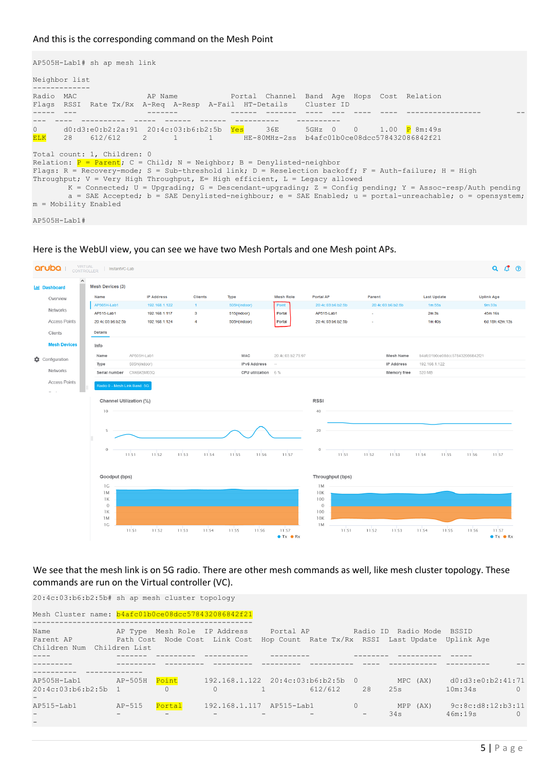### And this is the corresponding command on the Mesh Point

AP505H-Lab1# sh ap mesh link Neighbor list Radio MAC AP Name **Portal Channel Band Age Hops Cost Relation** Flags RSSI Rate Tx/Rx A-Req A-Resp A-Fail HT-Details Cluster ID ----- --- ------- ------ ------- ---- --- ---- ---- ----------------- -- --- ---- ---------- ----- ------ ------ ---------- ---------- 0 d0:d3:e0:b2:2a:91 20:4c:03:b6:b2:5b Yes 36E 5GHz 0 0 1.00 P 8m:49s ELK 28 612/612 2 1 1 HE-80MHz-2ss b4afc01b0ce08dcc578432086842f21 Total count: 1, Children: 0 Relation:  $P = Parent; C = Child; N = Neighbour; B = Denylisted-neiqhbor$ Flags: R = Recovery-mode; S = Sub-threshold link; D = Reselection backoff; F = Auth-failure; H = High Throughput; V = Very High Throughput, E= High efficient, L = Legacy allowed  $K =$  Connected;  $U =$  Upgrading;  $G =$  Descendant-upgrading;  $Z =$  Config pending;  $Y =$  Assoc-resp/Auth pending a = SAE Accepted; b = SAE Denylisted-neighbour; e = SAE Enabled; u = portal-unreachable; o = opensystem;  $m =$  Mobility Enabled

AP505H-Lab1#





### We see that the mesh link is on 5G radio. There are other mesh commands as well, like mesh cluster topology. These commands are run on the Virtual controller (VC).

20:4c:03:b6:b2:5b# sh ap mesh cluster topology Mesh Cluster name: b4afc01b0ce08dcc578432086842f21 -------------------------------------------------- Name AP Type Mesh Role IP Address and Daniel AP Radio ID Radio Mode BSSID Parent AP Path Cost Node Cost Link Cost Hop Count Rate Tx/Rx RSSI Last Update Uplink Age Children Num Children List ---- ------- --------- ---------- --------- -------- ---------- ----- --------- --------- --------- --------- --------- ---------- ---- ----------- ---------- -- ---------- ------------- AP505H-Lab1 AP-505H Point 192.168.1.122 20:4c:03:b6:b2:5b 0 MPC (AX) d0:d3:e0:b2:41:71 20:4c:03:b6:b2:5b 1 0 0 1 612/612 28 25s 10m:34s 0 - AP515-Lab1 AP-515 **Portal** 192.168.1.117 AP515-Lab1 0 MPP (AX) 9c:8c:d8:12:b3:11 - - - - - - - - - - - - - - 34s 46m:19s 0 -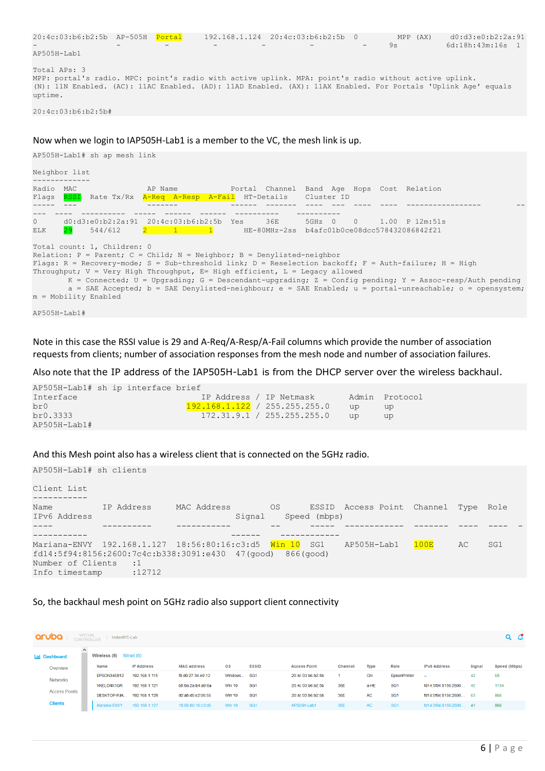```
20:4c:03:b6:b2:5b AP-505H Portal 192.168.1.124 20:4c:03:b6:b2:5b 0 MPP (AX) d0:d3:e0:b2:2a:91
                         - - - - - - - - 9s 6d:18h:43m:16s 1
AP505H-Lab1
Total APs: 3
MPP: portal's radio. MPC: point's radio with active uplink. MPA: point's radio without active uplink.
(N): 11N Enabled. (AC): 11AC Enabled. (AD): 11AD Enabled. (AX): 11AX Enabled. For Portals 'Uplink Age' equals 
uptime.
```
20:4c:03:b6:b2:5b#

### Now when we login to IAP505H-Lab1 is a member to the VC, the mesh link is up.

|                    | AP505H-Lab1# sh ap mesh link                        |                                                                                                                                                          |  |                                            |  |                                                                                                                                                                                                                                                                                                                                          |
|--------------------|-----------------------------------------------------|----------------------------------------------------------------------------------------------------------------------------------------------------------|--|--------------------------------------------|--|------------------------------------------------------------------------------------------------------------------------------------------------------------------------------------------------------------------------------------------------------------------------------------------------------------------------------------------|
| Neighbor list      |                                                     |                                                                                                                                                          |  |                                            |  |                                                                                                                                                                                                                                                                                                                                          |
| Radio MAC<br>Flaqs |                                                     | AP Name<br>RSSI Rate Tx/Rx A-Req A-Resp A-Fail HT-Details Cluster ID                                                                                     |  | Portal Channel Band Age Hops Cost Relation |  |                                                                                                                                                                                                                                                                                                                                          |
| $\circ$<br>ELK     | 29 544/612                                          | $d0: d3: e0: b2: 2a: 91$ $20: 4c: 03: b6: b2: 5b$ Yes $36E$ 5GHz 0 0 1.00 P 12m:51s                                                                      |  |                                            |  |                                                                                                                                                                                                                                                                                                                                          |
|                    | Total count: 1, Children: 0<br>m = Mobility Enabled | Relation: P = Parent; C = Child; N = Neighbor; B = Denylisted-neighbor<br>Throughput; $V = Very High Throughout, E = High efficient, L = Leqacy allowed$ |  |                                            |  | Flags: R = Recovery-mode; S = Sub-threshold link; D = Reselection backoff; F = Auth-failure; H = High<br>$K =$ Connected; U = Upgrading; G = Descendant-upgrading; Z = Config pending; Y = Assoc-resp/Auth pending<br>$a = SAE$ Accepted; $b = SAE$ Denylisted-neighbour; $e = SAE$ Enabled; $u =$ portal-unreachable; $o =$ opensystem; |

AP505H-Lab1#

Note in this case the RSSI value is 29 and A-Req/A-Resp/A-Fail columns which provide the number of association requests from clients; number of association responses from the mesh node and number of association failures.

Also note that the IP address of the IAP505H-Lab1 is from the DHCP server over the wireless backhaul.

| AP505H-Lab1# sh ip interface brief |  |  |  |                               |     |                |
|------------------------------------|--|--|--|-------------------------------|-----|----------------|
| Interface                          |  |  |  | IP Address / IP Netmask       |     | Admin Protocol |
| br0                                |  |  |  | 192.168.1.122 / 255.255.255.0 | up  | up.            |
| br0.3333                           |  |  |  | 172.31.9.1 / 255.255.255.0    | 11D | up.            |
| $AP505H-Lab1#$                     |  |  |  |                               |     |                |

#### And this Mesh point also has a wireless client that is connected on the 5GHz radio.

| AP505H-Lab1# sh clients             |                                                                                  |             |        |    |              |                                      |      |     |     |  |
|-------------------------------------|----------------------------------------------------------------------------------|-------------|--------|----|--------------|--------------------------------------|------|-----|-----|--|
| Client List                         |                                                                                  |             |        |    |              |                                      |      |     |     |  |
| Name<br>IPv6 Address                | IP Address                                                                       | MAC Address | Signal | OS | Speed (mbps) | ESSID Access Point Channel Type Role |      |     |     |  |
|                                     |                                                                                  |             |        |    |              |                                      |      |     |     |  |
| Number of Clients<br>Info timestamp | fd14:5f94:8156:2600:7c4c:b338:3091:e430 47(qood) 866(qood)<br>$\cdots$<br>:12712 |             |        |    |              |                                      | 100E | AC. | SG1 |  |
|                                     |                                                                                  |             |        |    |              |                                      |      |     |     |  |

### So, the backhaul mesh point on 5GHz radio also support client connectivity

| aruba                | VIRTUAL<br>CONTROLLER<br>$Q$ $C$<br>InstantVC-Lab        |                   |                    |                         |                 |                     |                |           |                     |                      |               |              |  |  |
|----------------------|----------------------------------------------------------|-------------------|--------------------|-------------------------|-----------------|---------------------|----------------|-----------|---------------------|----------------------|---------------|--------------|--|--|
| <b>Ind</b> Dashboard | $\wedge$<br><b>Wireless <math>(8)</math></b> Wired $(0)$ |                   |                    |                         |                 |                     |                |           |                     |                      |               |              |  |  |
| Overview             | Name                                                     | <b>IP Address</b> | <b>MAC address</b> | $\overline{\mathbf{S}}$ | <b>ESSID</b>    | <b>Access Point</b> | <b>Channel</b> | Type      | Role                | <b>IPv6 Address</b>  | <b>Signal</b> | Speed (Mbps) |  |  |
| <b>Networks</b>      | EPSON34E912                                              | 192.168.1.115     | f8:d0:27:34:e9:12  | Windows SG1             |                 | 20:4c:03:b6:b2:5b   |                | <b>GN</b> | <b>EpsonPrinter</b> | $\sim$               | 42            | 65           |  |  |
|                      | <b>VKELONX1GR</b>                                        | 192.168.1.121     | b8:9a:2a:b4:a9:6a  | <b>Win 10</b>           | SG <sub>1</sub> | 20:4c:03:b6:b2:5b   | 36E            | a-HE      | SG <sub>1</sub>     | fd14:5f94:8156:2600. | $42^{1}$      | 1134         |  |  |
| <b>Access Points</b> | DESKTOP-PJA                                              | 192.168.1.129     | d0:ab:d5:c2:06:55  | <b>Win 10</b>           | SG <sub>1</sub> | 20:4c:03:b6:b2:5b   | 36E            | AC        | SG <sub>1</sub>     | fd14:5f94:8156:2600  | - 63          | 866          |  |  |
| <b>Clients</b>       | Mariana-ENVY                                             | 192.168.1.127     | 18:56:80:16:c3:d5  | <b>Win 10</b>           | SG <sub>1</sub> | AP505H-Lab1         | 36E            | AC.       | SG <sub>1</sub>     | fd14:5f94:8156:2600. | 41            | 866          |  |  |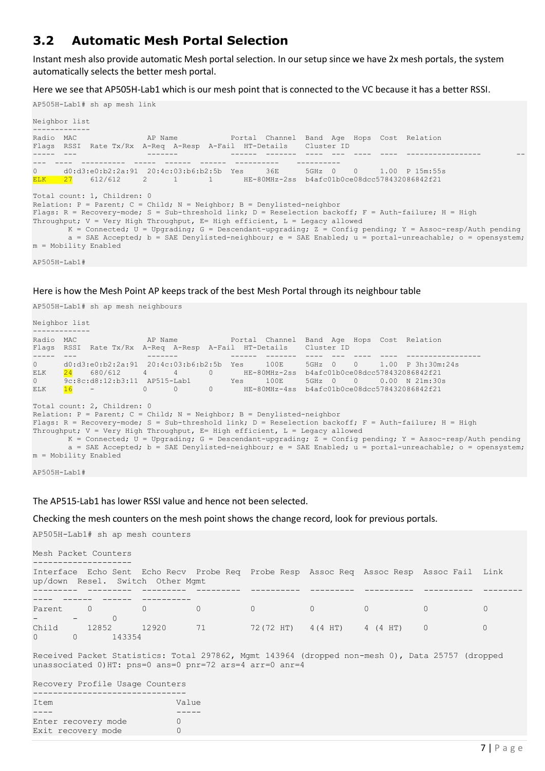## <span id="page-6-0"></span>**3.2 Automatic Mesh Portal Selection**

Instant mesh also provide automatic Mesh portal selection. In our setup since we have 2x mesh portals, the system automatically selects the better mesh portal.

Here we see that AP505H-Lab1 which is our mesh point that is connected to the VC because it has a better RSSI.

AP505H-Lab1# sh ap mesh link

```
Neighbor list
-------------
Radio MAC AP Name Portal Channel Band Age Hops Cost Relation 
Flags RSSI Rate Tx/Rx A-Req A-Resp A-Fail HT-Details Cluster ID
----- --- ------- ------ ------- ---- --- ---- ---- ----------------- --
--- ---- ---------- ----- ------ ------ ---------- ----------
0 d0:d3:e0:b2:2a:91 20:4c:03:b6:b2:5b Yes 36E 5GHz 0 0 1.00 P 15m:55s 
ELK 27 612/612 2 1 1 HE-80MHz-2ss b4afc01b0ce08dcc578432086842f21
Total count: 1, Children: 0
Relation: P = Parent; C = Child; N = Neighbour; B = Denylisted-neighborFlags: R = Recovery-mode; S = Sub-threshold link; D = Research backoff; F = Author failure; H = HighThroughput; V = Very High Throughput, E= High efficient, L = Legacy allowed
      K = Connected; U = Upgrading; G = Descendant-upgrading; Z = Config pending; Y = Assoc-resp/Auth pending
      a = SAE Accepted; b = SAE Denylisted-neighbour; e = SAE Enabled; u = portal-unreachable; o = opensystem;
m = Mobility Enabled
```
AP505H-Lab1#

#### Here is how the Mesh Point AP keeps track of the best Mesh Portal through its neighbour table

AP505H-Lab1# sh ap mesh neighbours

```
Neighbor list
-------------
Radio MAC AP Name Portal Channel Band Age Hops Cost Relation 
Flags RSSI Rate Tx/Rx A-Req A-Resp A-Fail HT-Details Cluster ID
----- --- ------- ------ ------- ---- --- ---- ---- ----------------- 
0 d0:d3:e0:b2:2a:91 20:4c:03:b6:b2:5b Yes 100E 5GHz 0 0 1.00 P 3h:30m:24s 
ELK 24 680/612 4 4 0 HE-80MHz-2ss b4afc01b0ce08dcc578432086842f21<br>0 9c:8c:d8:12:b3:11 AP515-Lab1 Yes 100E 5GHz 0 0 0.00 N 21m:30
0 9c:8c:38:12:b3:11 AP515-Lab1 Yes 100E 5GHz 0 0 0.00 N 21m:30s<br>ELK 16 - 0 0 0 HE-80MHz-4ss b4afc01b0ce08dcc578432086842f21
ELK 16 - 0 0 0 HE-80MHz-4ss b4afc01b0ce08dcc578432086842f21
Total count: 2, Children: 0
Relation: P = Parent; C = Child; N = Neighbor; B = Denylisted-neighbourFlags: R = Recovery-mode; S = Sub-threshold link; D = Reselection backoff; F = Auth-failure; H = High
Throughput; V = Very High Throughout, E= High efficient, L = Legacy allowedK = Connected; U = Upgrading; G = Descendant-upgrading; Z = Config pending; Y = Assoc-resp/Auth pending
        a = SAE Accepted; b = SAE Denylisted-neighbour; e = SAE Enabled; u = portal-unreachable; o = opensystem; 
m = Mobility Enabled
```
AP505H-Lab1#

The AP515-Lab1 has lower RSSI value and hence not been selected.

Checking the mesh counters on the mesh point shows the change record, look for previous portals.

AP505H-Lab1# sh ap mesh counters

```
Mesh Packet Counters
```

|                                    | up/down Resel. Switch Other Mgmt |       | Interface Echo Sent Echo Recv Probe Req Probe Resp Assoc Req Assoc Resp Assoc Fail Link |  |  |  |
|------------------------------------|----------------------------------|-------|-----------------------------------------------------------------------------------------|--|--|--|
|                                    |                                  |       |                                                                                         |  |  |  |
|                                    |                                  |       |                                                                                         |  |  |  |
|                                    |                                  |       | Parent 0 0 0 0 0 0 0 0 0 0                                                              |  |  |  |
| with the company of the company of |                                  |       |                                                                                         |  |  |  |
|                                    | Child 12852                      | 12920 | 71 72 (72 HT) 4 (4 HT) 4 (4 HT) 0                                                       |  |  |  |
|                                    | 0 0 143354                       |       |                                                                                         |  |  |  |

Received Packet Statistics: Total 297862, Mgmt 143964 (dropped non-mesh 0), Data 25757 (dropped unassociated 0)HT: pns=0 ans=0 pnr=72 ars=4 arr=0 anr=4

Recovery Profile Usage Counters

| Item                | Value |
|---------------------|-------|
|                     |       |
| Enter recovery mode |       |
| Exit recovery mode  |       |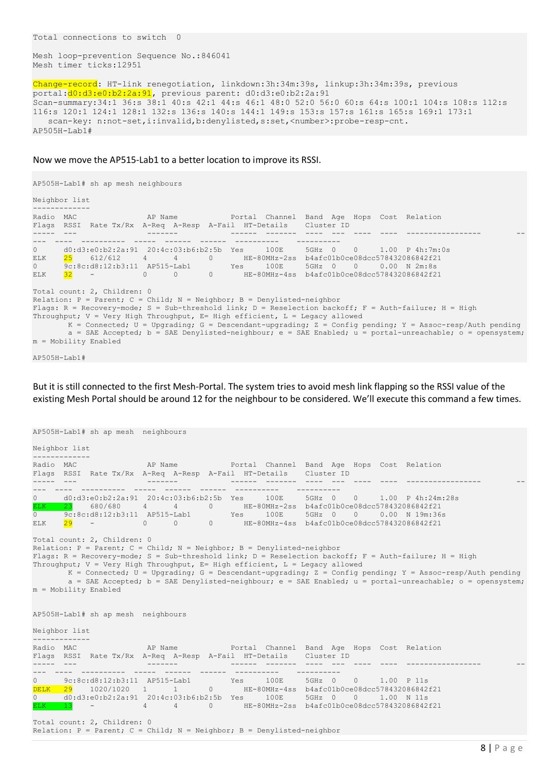Mesh loop-prevention Sequence No.:846041 Mesh timer ticks:12951

```
Change-record: HT-link renegotiation, linkdown:3h:34m:39s, linkup:3h:34m:39s, previous 
portal:d0:d3:e0:b2:2a:91, previous parent: d0:d3:e0:b2:2a:91
Scan-summary:34:1 36:s 38:1 40:s 42:1 44:s 46:1 48:0 52:0 56:0 60:s 64:s 100:1 104:s 108:s 112:s 
116:s 120:1 124:1 128:1 132:s 136:s 140:s 144:1 149:s 153:s 157:s 161:s 165:s 169:1 173:1
   scan-key: n:not-set,i:invalid,b:denylisted,s:set,<number>:probe-resp-cnt.
AP505H-Lab1#
```
#### Now we move the AP515-Lab1 to a better location to improve its RSSI.

```
AP505H-Lab1# sh ap mesh neighbours
Neighbor list
-------------
Radio MAC AP Name AP Name Portal Channel Band Age Hops Cost Relation
Flags RSSI Rate Tx/Rx A-Req A-Resp A-Fail HT-Details Cluster ID
----- --- ------- ------ ------- ---- --- ---- ---- ----------------- --
--- ---- ---------- ----- ------ ------ ---------- ----------
0 d0:d3:e0:b2:2a:91 20:4c:03:b6:b2:5b Yes 100E 5GHz 0 0 1.00 P 4h:7m:0s 
ELK  25 612/612  4  4 0 HE-80MHz-2ss b4afc01b0ce08dcc578432086842f21
0 9c:8c:d8:12:b3:11 AP515-Lab1 Yes 100E 5GHz 0 0 0.00 N 2m:8s 
ELK 32 - 0 0 0 HE-80MHz-4ss b4afc01b0ce08dcc578432086842f21
Total count: 2, Children: 0
Relation: P = Parent; C = Child; N = Neighbour; B = Denylisted-neighborFlags: R = Recovery-mode; S = Sub-threshold link; D = Reselection backoff; F = Auth-failure; H = High
Throughput; V = Very High Throughput, E= High efficient, L = Legacy allowed
      K = Connected; U = Upgrading; G = Descendant-upgrading; Z = Config pending; Y = Assoc-resp/Auth pending
       a = SAE Accepted; b = SAE Denylisted-neighbour; e = SAE Enabled; u = portal-unreachable; o = opensystem; 
m = Mobility Enabled
```

```
AP505H-Lab1#
```
But it is still connected to the first Mesh-Portal. The system tries to avoid mesh link flapping so the RSSI value of the existing Mesh Portal should be around 12 for the neighbour to be considered. We'll execute this command a few times.

```
AP505H-Lab1# sh ap mesh neighbours
Neighbor list
-------------
Radio MAC AP Name Portal Channel Band Age Hops Cost Relation
Flags RSSI Rate Tx/Rx A-Req A-Resp A-Fail HT-Details Cluster ID
----- --- ------- ------ ------- ---- --- ---- ---- ----------------- --
--- ---- ---------- ----- ------ ------ ---------- ----------
0 d0:d3:e0:b2:2a:91 20:4c:03:b6:b2:5b Yes 100E 5GHz 0 0 1.00 P 4h:24m:28s 
ELK 23 680/680 4 4 0 HE-80MHz-2ss b4afc01b0ce08dcc578432086842f21
0 9c:8c:d8:12:b3:11 AP515-Lab1 Yes 100E 5GHz 0 0 0.00 N 19m:36s 
ELK  <mark>29</mark> - 0 0 0 0 HE-80MHz-4ss b4afc01b0ce08dcc578432086842f21
Total count: 2, Children: 0
Relation: P = Parent; C = Child; N = Neighbor; B = Denylisted-neighbourFlags: R = Recovery-mode; S = Sub-threshold link; D = Reselection backoff; F = Auth-failure; H = High
Throughput; V = Very High Throughput, E= High efficient, L = Legacy allowed
      K = Connected; U = Upgrading; G = Descendant-upgrading; Z = Config pending; Y = Assoc-resp/Auth pending
      a = SAE Accepted; b = SAE Denylisted-neighbour; e = SAE Enabled; u = portal-unreachable; o = opensystem;
m = Mobility Enabled
AP505H-Lab1# sh ap mesh neighbours
Neighbor list
-------------
Radio MAC AP Name AP Name Portal Channel Band Age Hops Cost Relation
Flags RSSI Rate Tx/Rx A-Req A-Resp A-Fail HT-Details Cluster ID
----- --- ------- ------ ------- ---- --- ---- ---- ----------------- --
--- ---- ---------- ----- ------ ------ ---------- ----------
0 9c:8c:d8:12:b3:11 AP515-Lab1 Yes 100E 5GHz 0 0 1.00 P 11s 
<mark>DELK 29</mark> 1020/1020 1 1 0 HE-80MHz-4ss b4afc01b0ce08dcc578432086842f21
0 d0:d3:e0:b2:2a:91 20:4c:03:b6:b2:5b Yes 100E 5GHz 0 0 1.00 N 11s 
ELK 13 - 4 4 0 HE-80MHz-2ss b4afc01b0ce08dcc578432086842f21
Total count: 2, Children: 0
```

```
Relation: P = Parent; C = Child; N = Neighbour; B = Denylisted-neighbor
```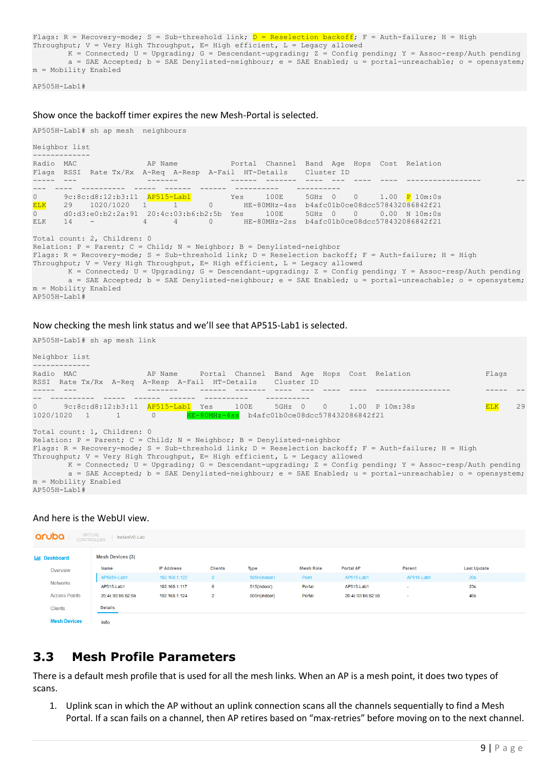```
Flags: R = Recovery-mode; S = Sub-threshold link; D = Reselection backoff; F = Auth-failure; H = High
Throughput; V = Very High Throughput, E= High efficient, L = Legacy allowed
        K = Connected; U = Upgrading; G = Descendant-upgrading; Z = Config pending; Y = Assoc-resp/Auth pending
         a = SAE Accepted; b = SAE Denylisted-neighbour; e = SAE Enabled; u = portal-unreachable; o = opensystem; 
m = Mobility Enabled
```
AP505H-Lab1#

#### Show once the backoff timer expires the new Mesh-Portal is selected.

```
AP505H-Lab1# sh ap mesh neighbours
Neighbor list
-------------
Radio MAC AP Name AP Name Portal Channel Band Age Hops Cost Relation
Flags RSSI Rate Tx/Rx A-Req A-Resp A-Fail HT-Details Cluster ID
----- --- ------- ------ ------- ---- --- ---- ---- ----------------- --
--- ---- ---------- ----- ------ ------ ---------- ----------
0 9c:8c:d8:12:b3:11 AP515-Lab1 Yes 100E 5GHz 0 0 1.00 P 10m:0s 
ELK 29 1020/1020 1 1 0 HE-80MHz-4ss b4afc01b0ce08dcc578432086842f21
0 d0:d3:e0:b2:2a:91  20:4c:03:b6:b2:5b Yes  100E  5GHz  0  0  0.00 N 10m:0s<br>ELK  14 -  4  4  0  HE-80MHz-2ss b4afc01b0ce08dcc578432086842f21
ELK 14 - 4 4 0 HE-80MHz-2ss b4afc01b0ce08dcc578432086842f21
Total count: 2, Children: 0
Relation: P = Parent; C = Child; N = Neighbor; B = Denylisted-neighborFlags: R = Recovery-mode; S = Sub-threshold link; D = Reselection backoff; F = Auth-failure; H = High
Throughput; V = Very High Throughput, E= High efficient, L = Legacy allowed
       K = Connected; U = Upgrading; G = Descendant-upgrading; Z = Config pending; Y = Assoc-resp/Auth pending
        a = SAE Accepted; b = SAE Denylisted-neighbour; e = SAE Enabled; u = portal-unreachable; o = opensystem; 
m = Mobility Enabled
AP505H-Lab1#
```
#### Now checking the mesh link status and we'll see that AP515-Lab1 is selected.

AP505H-Lab1# sh ap mesh link

| Neighbor list                                                                                                                                                                                                                                                                                                     |    |
|-------------------------------------------------------------------------------------------------------------------------------------------------------------------------------------------------------------------------------------------------------------------------------------------------------------------|----|
| Radio MAC<br>Flags<br>RSSI Rate Tx/Rx A-Req A-Resp A-Fail HT-Details Cluster ID                                                                                                                                                                                                                                   |    |
|                                                                                                                                                                                                                                                                                                                   |    |
| $0 \qquad \qquad$<br><b>ELK</b><br>HE-80MHz-4ss b4afc01b0ce08dcc578432086842f21<br>$1020/1020$ 1 1 0                                                                                                                                                                                                              | 29 |
| Total count: 1, Children: 0<br>Relation: $P = Parent; C = Child; N = Neighbour; B = Denylisted-neighbour$                                                                                                                                                                                                         |    |
| Flags: R = Recovery-mode; S = Sub-threshold link; D = Reselection backoff; F = Auth-failure; H = High                                                                                                                                                                                                             |    |
| Throughput; $V = Very High Throughout, E = High efficient, L = Legacy allowed$<br>$K =$ Connected; U = Upgrading; G = Descendant-upgrading; Z = Config pending; Y = Assoc-resp/Auth pending<br>$a = SAE$ Accepted; $b = SAE$ Denylisted-neighbour; $e = SAE$ Enabled; $u =$ portal-unreachable; $o =$ opensystem; |    |
| m = Mobility Enabled<br>AP505H-Lab1#                                                                                                                                                                                                                                                                              |    |

#### And here is the WebUI view.

| aruba                  | VIRTUAL<br>CONTROLLER<br>InstantVC-Lab |                   |                |              |                  |                   |            |                    |  |  |  |  |  |
|------------------------|----------------------------------------|-------------------|----------------|--------------|------------------|-------------------|------------|--------------------|--|--|--|--|--|
| <b>India Dashboard</b> | <b>Mesh Devices (3)</b>                |                   |                |              |                  |                   |            |                    |  |  |  |  |  |
| Overview               | Name                                   | <b>IP Address</b> | <b>Clients</b> | Type         | <b>Mesh Role</b> | <b>Portal AP</b>  | Parent     | <b>Last Update</b> |  |  |  |  |  |
|                        | AP505H-Lab1                            | 192.168.1.122     | $\mathbf{0}$   | 505H(indoor) | Point            | AP515-Lab1        | AP515-Lab1 | <b>20s</b>         |  |  |  |  |  |
| <b>Networks</b>        | AP515-Lab1                             | 192.168.1.117     | 6              | 515(indoor)  | Portal           | AP515-Lab1        | $\sim$     | 23s                |  |  |  |  |  |
| <b>Access Points</b>   | 20:4c:03:b6:b2:5b                      | 192.168.1.124     | $\overline{2}$ | 505H(indoor) | Portal           | 20:4c:03:b6:b2:5b | <b>A</b>   | 46s                |  |  |  |  |  |
| <b>Clients</b>         | Details                                |                   |                |              |                  |                   |            |                    |  |  |  |  |  |
| <b>Mesh Devices</b>    | Info                                   |                   |                |              |                  |                   |            |                    |  |  |  |  |  |

## <span id="page-8-0"></span>**3.3 Mesh Profile Parameters**

There is a default mesh profile that is used for all the mesh links. When an AP is a mesh point, it does two types of scans.

1. Uplink scan in which the AP without an uplink connection scans all the channels sequentially to find a Mesh Portal. If a scan fails on a channel, then AP retires based on "max-retries" before moving on to the next channel.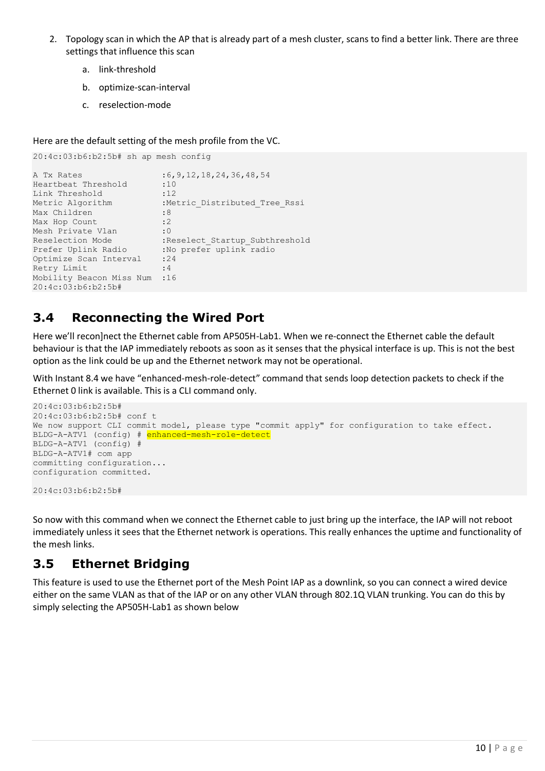- 2. Topology scan in which the AP that is already part of a mesh cluster, scans to find a better link. There are three settings that influence this scan
	- a. link-threshold
	- b. optimize-scan-interval
	- c. reselection-mode

Here are the default setting of the mesh profile from the VC.

```
20:4c:03:b6:b2:5b# sh ap mesh config
A Tx Rates : 6, 9, 12, 18, 24, 36, 48, 54
Heartbeat Threshold :10
Link Threshold :12
Metric Algorithm :Metric Distributed Tree Rssi
Max Children : 8<br>Max Hop Count : 2
Max Hop Count
Mesh Private Vlan : 0
Reselection Mode :Reselect Startup Subthreshold
Prefer Uplink Radio :No prefer uplink radio
Optimize Scan Interval :24
Retry Limit : 4
Mobility Beacon Miss Num :16
20:4c:03:b6:b2:5b#
```
# <span id="page-9-0"></span>**3.4 Reconnecting the Wired Port**

Here we'll recon]nect the Ethernet cable from AP505H-Lab1. When we re-connect the Ethernet cable the default behaviour is that the IAP immediately reboots as soon as it senses that the physical interface is up. This is not the best option as the link could be up and the Ethernet network may not be operational.

With Instant 8.4 we have "enhanced-mesh-role-detect" command that sends loop detection packets to check if the Ethernet 0 link is available. This is a CLI command only.

```
20:4c:03:b6:b2:5b#
20:4c:03:b6:b2:5b# conf t
We now support CLI commit model, please type "commit apply" for configuration to take effect.
BLDG-A-ATV1 (config) # enhanced-mesh-role-detect
BLDG-A-ATV1 (config) #
BLDG-A-ATV1# com app
committing configuration...
configuration committed.
```
20:4c:03:b6:b2:5b#

So now with this command when we connect the Ethernet cable to just bring up the interface, the IAP will not reboot immediately unless it sees that the Ethernet network is operations. This really enhances the uptime and functionality of the mesh links.

# <span id="page-9-1"></span>**3.5 Ethernet Bridging**

This feature is used to use the Ethernet port of the Mesh Point IAP as a downlink, so you can connect a wired device either on the same VLAN as that of the IAP or on any other VLAN through 802.1Q VLAN trunking. You can do this by simply selecting the AP505H-Lab1 as shown below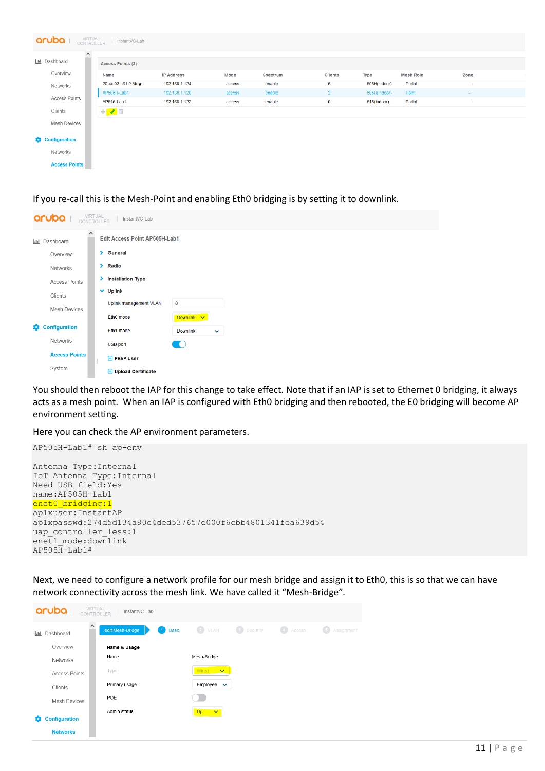| aruba<br>VIRTUAL<br>CONTROLLER<br>InstantVC-Lab |                            |                   |        |          |                |              |                  |          |  |  |  |  |  |
|-------------------------------------------------|----------------------------|-------------------|--------|----------|----------------|--------------|------------------|----------|--|--|--|--|--|
| $\hat{\phantom{a}}$<br><b>ILLI</b> Dashboard    | Access Points (3)          |                   |        |          |                |              |                  |          |  |  |  |  |  |
| Overview                                        | Name                       | <b>IP Address</b> | Mode   | Spectrum | <b>Clients</b> | Type         | <b>Mesh Role</b> | Zone     |  |  |  |  |  |
| Networks                                        | 20:4c:03:b6:b2:5b +        | 192.168.1.124     | access | enable   | 6              | 505H(indoor) | Portal           | $\sim$   |  |  |  |  |  |
|                                                 | AP505H-Lab1                | 192.168.1.120     | access | enable   | $2^{\circ}$    | 505H(indoor) | Point            | $\sim$   |  |  |  |  |  |
| <b>Access Points</b>                            | AP515-Lab1                 | 192.168.1.122     | access | enable   | $\mathbf 0$    | 515(indoor)  | Portal           | <b>A</b> |  |  |  |  |  |
| Clients                                         | $+$ $\rightarrow$ $\equiv$ |                   |        |          |                |              |                  |          |  |  |  |  |  |
| Mesh Devices                                    |                            |                   |        |          |                |              |                  |          |  |  |  |  |  |
| <b>Configuration</b>                            |                            |                   |        |          |                |              |                  |          |  |  |  |  |  |
| <b>Networks</b>                                 |                            |                   |        |          |                |              |                  |          |  |  |  |  |  |
| <b>Access Points</b>                            |                            |                   |        |          |                |              |                  |          |  |  |  |  |  |

If you re-call this is the Mesh-Point and enabling Eth0 bridging is by setting it to downlink.

|   | aruba<br>VIRTUAL<br>CONTROLLER<br>InstantVC-Lab                          |  |                |                             |                 |              |  |  |  |  |  |  |  |  |
|---|--------------------------------------------------------------------------|--|----------------|-----------------------------|-----------------|--------------|--|--|--|--|--|--|--|--|
|   | $\wedge$<br><b>Edit Access Point AP505H-Lab1</b><br><b>III</b> Dashboard |  |                |                             |                 |              |  |  |  |  |  |  |  |  |
|   | Overview                                                                 |  |                | > General                   |                 |              |  |  |  |  |  |  |  |  |
|   | Networks                                                                 |  | $\angle$ Radio |                             |                 |              |  |  |  |  |  |  |  |  |
|   | <b>Access Points</b>                                                     |  |                | > Installation Type         |                 |              |  |  |  |  |  |  |  |  |
|   | Clients                                                                  |  |                | $\vee$ Uplink               |                 |              |  |  |  |  |  |  |  |  |
|   | <b>Mesh Devices</b>                                                      |  |                | Uplink management VLAN      | $\mathbf 0$     |              |  |  |  |  |  |  |  |  |
|   |                                                                          |  |                | Eth0 mode                   | Downlink V      |              |  |  |  |  |  |  |  |  |
| 8 | Configuration                                                            |  |                | Eth1 mode                   | <b>Downlink</b> | $\checkmark$ |  |  |  |  |  |  |  |  |
|   | Networks                                                                 |  |                | USB port                    | <b>IO</b>       |              |  |  |  |  |  |  |  |  |
|   | <b>Access Points</b>                                                     |  |                | <b>E</b> PEAP User          |                 |              |  |  |  |  |  |  |  |  |
|   | System                                                                   |  |                | <b>H</b> Upload Certificate |                 |              |  |  |  |  |  |  |  |  |

You should then reboot the IAP for this change to take effect. Note that if an IAP is set to Ethernet 0 bridging, it always acts as a mesh point. When an IAP is configured with Eth0 bridging and then rebooted, the E0 bridging will become AP environment setting.

Here you can check the AP environment parameters.

```
AP505H-Lab1# sh ap-env
Antenna Type:Internal
IoT Antenna Type:Internal
Need USB field:Yes
name:AP505H-Lab1
enet0 bridging:1
ap1xuser:InstantAP
ap1xpasswd:274d5d134a80c4ded537657e000f6cbb4801341fea639d54
uap controller less:1
enet1_mode:downlink
AP505H-Lab1#
```
Next, we need to configure a network profile for our mesh bridge and assign it to Eth0, this is so that we can have network connectivity across the mesh link. We have called it "Mesh-Bridge".

| aruba  <br><b>CONTROLLER</b>     | <b>VIRTUAL</b><br>InstantVC-Lab               |                                                                     |
|----------------------------------|-----------------------------------------------|---------------------------------------------------------------------|
| $\wedge$<br>Dashboard<br>$ $ and | <b>Basic</b><br>edit Mesh-Bridge<br>$\vert$ 1 | 2 VLAN<br>(3) Security<br>$\left( 4\right)$<br>Access<br>Assignment |
| Overview                         | Name & Usage                                  |                                                                     |
| <b>Networks</b>                  | Name                                          | Mesh-Bridge                                                         |
| <b>Access Points</b>             | Type                                          | Wired<br>$\mathbf{v}$                                               |
| Clients                          | Primary usage                                 | Employee<br>$\checkmark$                                            |
| <b>Mesh Devices</b>              | POE                                           |                                                                     |
|                                  | Admin status                                  | Up<br>$\checkmark$                                                  |
| <b>Configuration</b><br>8        |                                               |                                                                     |
| <b>Networks</b>                  |                                               |                                                                     |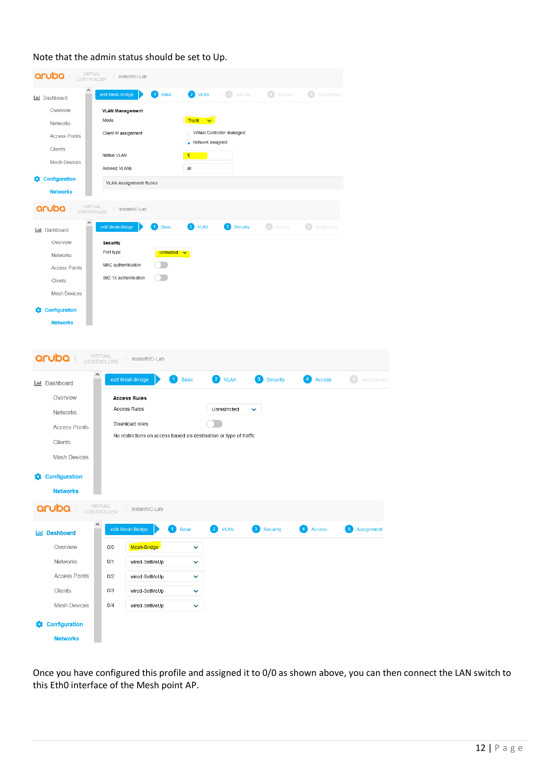| VIRTUAL<br>CONTROLLER<br>aruba 1             | InstantVC-Lab                              |                                                                   |                                  |                            |                                             |                                                 |                          |
|----------------------------------------------|--------------------------------------------|-------------------------------------------------------------------|----------------------------------|----------------------------|---------------------------------------------|-------------------------------------------------|--------------------------|
| $\wedge$<br><b>III</b> Dashboard             | edit Mesh-Bridge                           | <b>Basic</b>                                                      | $\overline{2}$ VLAN              | Security                   | Access                                      | $\begin{pmatrix} 5 \end{pmatrix}$<br>Assignment |                          |
| Overview                                     | <b>VLAN Management</b><br>Mode             |                                                                   | Trunk v                          |                            |                                             |                                                 |                          |
| Networks                                     | Client IP assignment                       |                                                                   |                                  | Virtual Controller managed |                                             |                                                 |                          |
| <b>Access Points</b>                         |                                            |                                                                   | Network assigned                 |                            |                                             |                                                 |                          |
| Clients                                      | Native VLAN                                |                                                                   | 1                                |                            |                                             |                                                 |                          |
| <b>Mesh Devices</b>                          | Allowed VLANs                              |                                                                   | all                              |                            |                                             |                                                 |                          |
| <b>Configuration</b><br>o<br><b>Networks</b> | <b>VLAN Assignment Rules</b>               |                                                                   |                                  |                            |                                             |                                                 |                          |
| VIRTUAL<br>CONTROLLER<br>aruba               | InstantVC-Lab                              |                                                                   |                                  |                            |                                             |                                                 |                          |
| Α                                            | edit Mesh-Bridge                           | <b>Basic</b><br>1.                                                | $\left( 2\right)$<br><b>VLAN</b> |                            | $\begin{pmatrix} 1 \end{pmatrix}$<br>Access | $\left( 5\right)$<br>Assignment                 |                          |
| <b>III</b> Dashboard                         |                                            |                                                                   |                                  | <b>Security</b>            |                                             |                                                 |                          |
| Overview                                     | Security<br>Port type                      | <b>Untrusted</b>                                                  |                                  |                            |                                             |                                                 |                          |
| Networks                                     | MAC authentication                         |                                                                   |                                  |                            |                                             |                                                 |                          |
| <b>Access Points</b>                         | 802.1X authentication                      |                                                                   |                                  |                            |                                             |                                                 |                          |
| Clients                                      |                                            |                                                                   |                                  |                            |                                             |                                                 |                          |
| <b>Mesh Devices</b>                          |                                            |                                                                   |                                  |                            |                                             |                                                 |                          |
| <b>Configuration</b>                         |                                            |                                                                   |                                  |                            |                                             |                                                 |                          |
| <b>Networks</b>                              |                                            |                                                                   |                                  |                            |                                             |                                                 |                          |
| <b>III</b> Dashboard                         | edit Mesh-Bridge                           | 1                                                                 | <b>Basic</b>                     | 2 VLAN                     | <b>Security</b><br>3 <sup>2</sup>           | <b>Access</b><br>$\overline{4}$                 | $-5$<br>Assignme         |
| Overview                                     | <b>Access Rules</b><br><b>Access Rules</b> |                                                                   |                                  | Unrestricted               |                                             |                                                 |                          |
| Networks                                     |                                            |                                                                   |                                  |                            |                                             |                                                 |                          |
| <b>Access Points</b>                         | Download roles                             | No restrictions on access based on destination or type of traffic |                                  |                            |                                             |                                                 |                          |
| Clients                                      |                                            |                                                                   |                                  |                            |                                             |                                                 |                          |
| <b>Mesh Devices</b>                          |                                            |                                                                   |                                  |                            |                                             |                                                 |                          |
| <b>Configuration</b><br>0                    |                                            |                                                                   |                                  |                            |                                             |                                                 |                          |
| <b>Networks</b>                              |                                            |                                                                   |                                  |                            |                                             |                                                 |                          |
| aruba <b>i</b>                               | VIRTUAL<br>CONTROLLER<br>InstantVC-Lab     |                                                                   |                                  |                            |                                             |                                                 |                          |
| <b>Ind</b> Dashboard                         | ^<br>edit Mesh-Bridge                      | $\vert$ 1 $\rangle$<br><b>Basic</b>                               |                                  | 2 VLAN                     | 3 Security                                  | 4 Access                                        | $\sqrt{5}$<br>Assignment |
| Overview                                     | Mesh-Bridge<br>0/0                         |                                                                   | v                                |                            |                                             |                                                 |                          |
| Networks                                     | 0/1                                        | wired-SetMeUp                                                     | v                                |                            |                                             |                                                 |                          |
| <b>Access Points</b>                         | 0/2                                        | wired-SetMeUp                                                     | v                                |                            |                                             |                                                 |                          |
| Clients                                      | 0/3                                        | wired-SetMeUp                                                     | v                                |                            |                                             |                                                 |                          |
| <b>Mesh Devices</b>                          | $0/4$                                      | wired-SetMeUp                                                     | ✓                                |                            |                                             |                                                 |                          |
| <b>Configuration</b><br>n                    |                                            |                                                                   |                                  |                            |                                             |                                                 |                          |
| <b>Networks</b>                              |                                            |                                                                   |                                  |                            |                                             |                                                 |                          |

### Note that the admin status should be set to Up.

Once you have configured this profile and assigned it to 0/0 as shown above, you can then connect the LAN switch to this Eth0 interface of the Mesh point AP.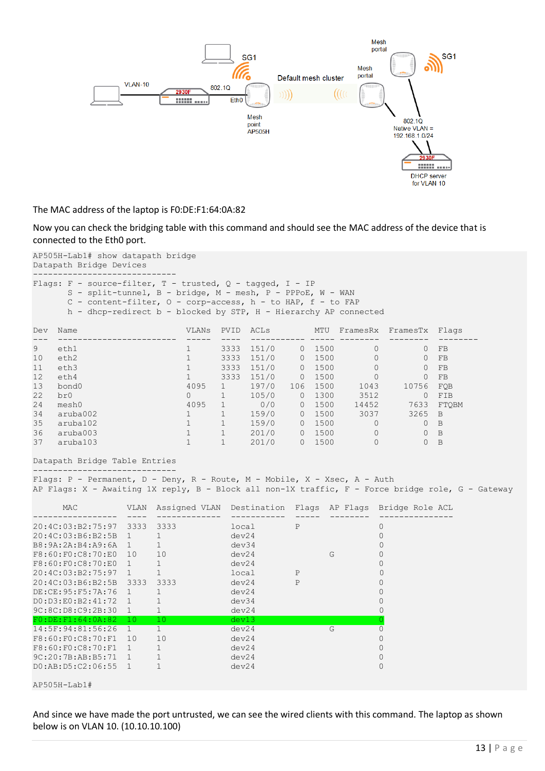

The MAC address of the laptop is F0:DE:F1:64:0A:82

Now you can check the bridging table with this command and should see the MAC address of the device that is connected to the Eth0 port.

AP505H-Lab1# show datapath bridge Datapath Bridge Devices

|  | Flags: F - source-filter, T - trusted, Q - tagged, I - IP         |
|--|-------------------------------------------------------------------|
|  | S - split-tunnel, B - bridge, M - mesh, P - PPPoE, W - WAN        |
|  | C - content-filter, $0$ - corp-access, $h$ - to HAP, $f$ - to FAP |
|  | h - dhcp-redirect b - blocked by STP, H - Hierarchy AP connected  |
|  |                                                                   |

| Dev | Name     | VLANs | PVID | ACLS  |                  | MTU  | FramesRx | FramesTx | Flags          |
|-----|----------|-------|------|-------|------------------|------|----------|----------|----------------|
|     |          |       |      |       |                  |      |          |          |                |
| 9   | eth1     |       | 3333 | 151/0 | 0                | 1500 | 0        | 0        | FB             |
| 10  | eth2     |       | 3333 | 151/0 | $\left( \right)$ | 1500 | 0        | $\Omega$ | FB             |
| 11  | eth3     |       | 3333 | 151/0 | 0                | 1500 |          | 0        | FB             |
| 12  | eth4     |       | 3333 | 151/0 | 0                | 1500 |          | 0        | FB             |
| 13  | bond0    | 4095  |      | 197/0 | 106              | 1500 | 1043     | 10756    | FOB            |
| 22  | br0      | 0     |      | 105/0 | 0                | 1300 | 3512     |          | FIB            |
| 24  | mesh0    | 4095  |      | 0/0   | 0                | 1500 | 14452    | 7633     | FTOBM          |
| 34  | aruba002 |       |      | 159/0 | 0                | 1500 | 3037     | 3265     | <b>B</b>       |
| 35  | aruba102 |       |      | 159/0 | 0                | 1500 | 0        | 0        | B              |
| 36  | aruba003 |       |      | 201/0 | 0                | 1500 | $\Omega$ | O        | B              |
| 37  | aruba103 |       |      | 201/0 |                  | 1500 | 0        |          | $\overline{B}$ |

### Datapath Bridge Table Entries

----------------------------- Flags: P - Permanent, D - Deny, R - Route, M - Mobile, X - Xsec, A - Auth AP Flags: X - Awaiting 1X reply, B - Block all non-1X traffic, F - Force bridge role, G - Gateway

| MAC                    | VLAN | Assigned VLAN | Destination | Flaqs | AP Flags | Bridge Role ACL |
|------------------------|------|---------------|-------------|-------|----------|-----------------|
|                        |      |               |             |       |          |                 |
| 20:4C:03:B2:75:97      | 3333 | 3333          | local       | P     |          | 0               |
| 20:4C:03:B6:B2:5B      |      |               | dev24       |       |          |                 |
| B8:9A:2A:B4:A9:6A      |      |               | dev34       |       |          |                 |
| F8:60:F0:C8:70:E0      | 10   | 10            | dev24       |       | G        |                 |
| F8:60:F0:C8:70:E0      |      |               | dev24       |       |          |                 |
| 20:4C:03:B2:75:97      |      |               | local       | P     |          |                 |
| 20:4C:03:B6:B2:5B      | 3333 | 3333          | dev24       | P     |          |                 |
| DE: CE: 95: F5: 7A: 76 |      |               | dev24       |       |          |                 |
| DO: D3: E0: B2: 41: 72 |      |               | dev34       |       |          |                 |
| 9C:8C:D8:C9:2B:30      |      |               | dev24       |       |          |                 |
| F0:DE: F1:64:0A:82     | 10   | 10            | dev13       |       |          |                 |
| 14:5F:94:81:56:26      |      |               | dev24       |       | G        |                 |
| F8:60:F0:C8:70:F1      | 10   | 10            | dev24       |       |          |                 |
| F8:60:F0:C8:70:F1      |      |               | dev24       |       |          |                 |
| 9C:20:7B:AB:B5:71      |      |               | dev24       |       |          |                 |
| DO:AB:D5:C2:06:55      |      |               | dev24       |       |          | Ω               |

AP505H-Lab1#

And since we have made the port untrusted, we can see the wired clients with this command. The laptop as shown below is on VLAN 10. (10.10.10.100)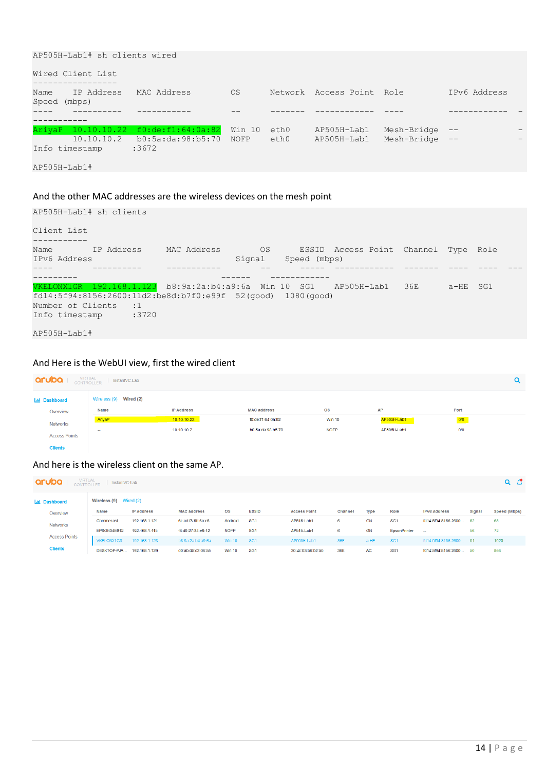```
AP505H-Lab1# sh clients wired
Wired Client List
-----------------
Name IP Address MAC Address OS Network Access Point Role IPv6 Address
Speed (mbps)
---- ---------- ----------- -- ------- ------------ ---- ------------ -
-----------
AriyaP 10.10.10.22 f0:de:f1:64:0a:82 Win 10 eth0 AP505H-Lab1 Mesh-Bridge -- - - -
 10.10.10.2 b0:5a:da:98:b5:70 NOFP eth0 AP505H-Lab1 Mesh-Bridge -- -
Info timestamp :3672
AP505H-Lab1#
```
### And the other MAC addresses are the wireless devices on the mesh point

```
AP505H-Lab1# sh clients
Client List
-----------
Name     IP Address   MAC Address     OS     ESSID Access Point Channel Type Role
IPv6 Address Signal Speed (mbps)
---- ---------- ----------- -- ----- ------------ ------- ---- ---- ---
--------- ------ ------------
VKELONX1GR 192.168.1.123 b8:9a:2a:b4:a9:6a Win 10 SG1 AP505H-Lab1 36E a-HE SG1 
fd14:5f94:8156:2600:11d2:be8d:b7f0:e99f 52(good) 1080(good)
Number of Clients :1
Info timestamp :3720
AP505H-Lab1#
```
### And Here is the WebUI view, first the wired client

| VIRTUAL<br>aruba<br>InstantVC-Lab |                        |                   |                    |                        |             |      |  |  |  |  |
|-----------------------------------|------------------------|-------------------|--------------------|------------------------|-------------|------|--|--|--|--|
| <b>Ind</b> Dashboard              | Wireless (9) Wired (2) |                   |                    |                        |             |      |  |  |  |  |
| Overview                          | Name                   | <b>IP Address</b> | <b>MAC address</b> | $\overline{\text{os}}$ | AP          | Port |  |  |  |  |
| <b>Networks</b>                   | AriyaP                 | 10.10.10.22       | f0:de:f1:64:0a:82  | <b>Win 10</b>          | AP505H-Lab1 | 0/0  |  |  |  |  |
| <b>Access Points</b>              | -                      | 10.10.10.2        | b0:5a:da:98:b5:70  | <b>NOFP</b>            | AP505H-Lab1 | 0/0  |  |  |  |  |
| <b>Clients</b>                    |                        |                   |                    |                        |             |      |  |  |  |  |

### And here is the wireless client on the same AP.

| aruba                                                    | <b>VIRTUAL</b><br>$Q$ $C$<br>InstantVC-Lab<br><b>CONTROLLER</b> |                   |                    |               |                 |                     |         |           |                 |                      |        |              |  |
|----------------------------------------------------------|-----------------------------------------------------------------|-------------------|--------------------|---------------|-----------------|---------------------|---------|-----------|-----------------|----------------------|--------|--------------|--|
| <b>Wireless (9)</b> Wired $(2)$<br><b>Lill</b> Dashboard |                                                                 |                   |                    |               |                 |                     |         |           |                 |                      |        |              |  |
| Overview                                                 | Name                                                            | <b>IP Address</b> | <b>MAC address</b> | <b>OS</b>     | <b>ESSID</b>    | <b>Access Point</b> | Channel | Type      | Role            | <b>IPv6 Address</b>  | Signal | Speed (Mbps) |  |
| <b>Networks</b>                                          | Chromecast                                                      | 192.168.1.121     | 6c:ad:f8:5b:6a:c6  | Android       | SG <sub>1</sub> | AP515-Lab1          | 6       | <b>GN</b> | SG <sub>1</sub> | fd14:5f94:8156:2600  | 52     | 65           |  |
|                                                          | EPSON34E912                                                     | 192.168.1.115     | f8:d0:27:34:e9:12  | <b>NOFP</b>   | SG <sub>1</sub> | AP515-Lab1          | 6       | GN        | EpsonPrinter    | $\sim$               | 56     | 72           |  |
| <b>Access Points</b>                                     | <b>VKELONX1GR</b>                                               | 192.168.1.123     | b8:9a:2a:b4:a9:6a  | <b>Win 10</b> | SG <sub>1</sub> | AP505H-Lab1         | 36E     | a-HE      | SG <sub>1</sub> | fd14:5f94:8156:2600  | 51     | 1020         |  |
| <b>Clients</b>                                           | DESKTOP-PJA                                                     | 192.168.1.129     | d0:ab:d5:c2:06:55  | <b>Win 10</b> | SG <sub>1</sub> | 20:4c:03:b6:b2:5b   | 36E     | AC        | SG <sub>1</sub> | fd14:5f94:8156:2600. | -50    | 866          |  |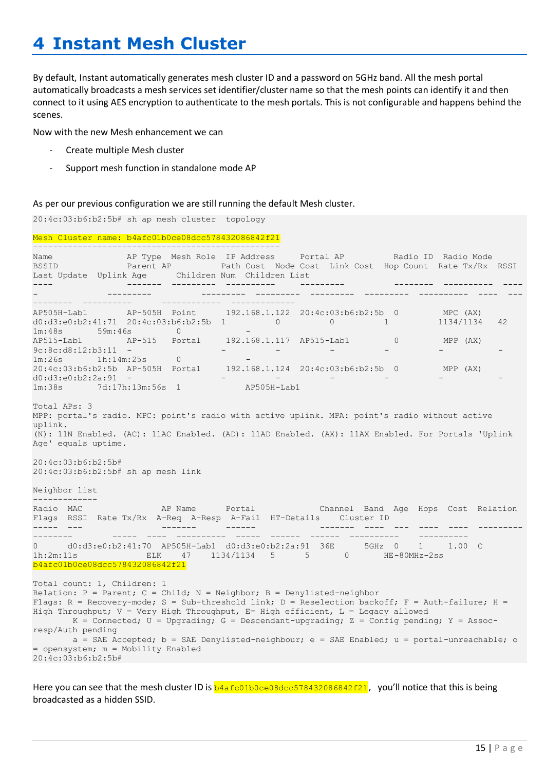# <span id="page-14-0"></span>**4 Instant Mesh Cluster**

By default, Instant automatically generates mesh cluster ID and a password on 5GHz band. All the mesh portal automatically broadcasts a mesh services set identifier/cluster name so that the mesh points can identify it and then connect to it using AES encryption to authenticate to the mesh portals. This is not configurable and happens behind the scenes.

Now with the new Mesh enhancement we can

- Create multiple Mesh cluster
- Support mesh function in standalone mode AP

As per our previous configuration we are still running the default Mesh cluster.

20:4c:03:b6:b2:5b# sh ap mesh cluster topology Mesh Cluster name: b4afc01b0ce08dcc578432086842f21 -------------------------------------------------- Name AP Type Mesh Role IP Address and the Portal AP and a Radio ID Radio Mode BSSID Parent AP Path Cost Node Cost Link Cost Hop Count Rate Tx/Rx RSSI Last Update Uplink Age Children Num Children List ---- ------- --------- ---------- --------- -------- ---------- ---- - --------- --------- --------- --------- --------- ---------- ---- --- -------- ---------- ------------ ------------- AP505H-Lab1 AP-505H Point 192.168.1.122 20:4c:03:b6:b2:5b 0 MPC (AX)<br>
-0 0 1 1134/1134<br>
-0 0 1 1134/1134 d0:d3:e0:b2:41:71 20:4c:03:b6:b2:5b 1 0 0 1 1134/1134 42<br>d0:d3:e0:b2:41:71 20:4c:03:b6:b2:5b 1 0 0 1 1134/1134 42 1m:48s 59m:46s 0 - AP515-Lab1 AP-515 Portal 192.168.1.117 AP515-Lab1 0 MPP (AX) 9c:8c:d8:12:b3:11 - - - - - - - 9c:8c:d8:12:b3:11 -<br>1m:26s 1h:14m:25s 0<br>20:4c:03:b6:b2:5b AP-505H Portal 192.168.1.124 20:4c:03:b6:b2:5b 0 MPP (AX) d0:d3:e0:b2:2a:91 - - - - - - - 1m:38s 7d:17h:13m:56s 1 AP505H-Lab1 Total APs: 3 MPP: portal's radio. MPC: point's radio with active uplink. MPA: point's radio without active uplink. (N): 11N Enabled. (AC): 11AC Enabled. (AD): 11AD Enabled. (AX): 11AX Enabled. For Portals 'Uplink Age' equals uptime. 20:4c:03:b6:b2:5b# 20:4c:03:b6:b2:5b# sh ap mesh link Neighbor list ------------- Radio MAC **AP Name** Portal Channel Band Age Hops Cost Relation Flags RSSI Rate Tx/Rx A-Req A-Resp A-Fail HT-Details Cluster ID ----- --- ------- ------ ------- ---- --- ---- ---- --------- -------- ----- ---- ---------- ----- ------ ------ ---------- ---------- 0 d0:d3:e0:b2:41:70 AP505H-Lab1 d0:d3:e0:b2:2a:91 36E 5GHz 0 1 1.00 C 1h:2m:11s ELK 47 1134/1134 5 5 0 HE-80MHz-2ss b4afc01b0ce08dcc578432086842f21 Total count: 1, Children: 1 Relation:  $P = Parent; C = Child; N = Neighbour; B = Denylisted-neighbor$ Flags: R = Recovery-mode; S = Sub-threshold link; D = Reselection backoff; F = Auth-failure; H = High Throughput; V = Very High Throughput, E= High efficient, L = Legacy allowed  $K =$  Connected;  $U =$  Upgrading;  $G =$  Descendant-upgrading;  $Z =$  Config pending;  $Y =$  Assocresp/Auth pending a = SAE Accepted;  $b = SAE$  Denylisted-neighbour; e = SAE Enabled; u = portal-unreachable; o = opensystem; m = Mobility Enabled 20:4c:03:b6:b2:5b#

Here you can see that the mesh cluster ID is  $b4afc01b0ce08dcc578432086842f21$ , you'll notice that this is being broadcasted as a hidden SSID.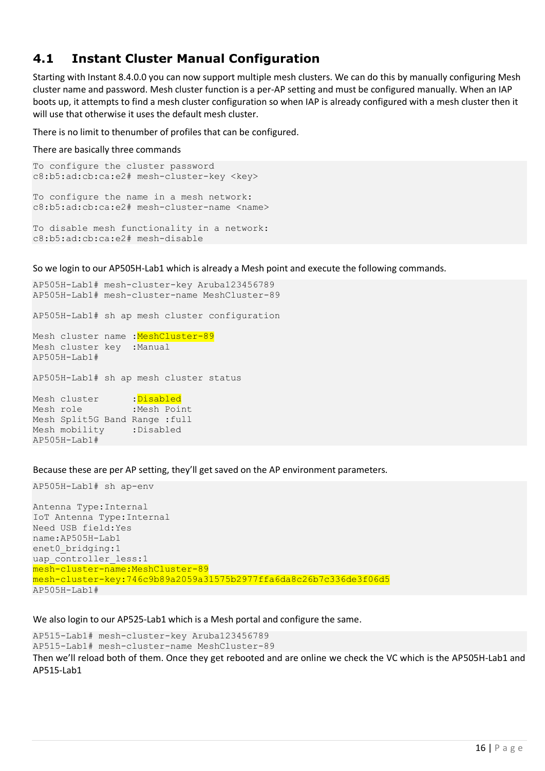## <span id="page-15-0"></span>**4.1 Instant Cluster Manual Configuration**

Starting with Instant 8.4.0.0 you can now support multiple mesh clusters. We can do this by manually configuring Mesh cluster name and password. Mesh cluster function is a per-AP setting and must be configured manually. When an IAP boots up, it attempts to find a mesh cluster configuration so when IAP is already configured with a mesh cluster then it will use that otherwise it uses the default mesh cluster.

There is no limit to thenumber of profiles that can be configured.

There are basically three commands

```
To configure the cluster password
c8:b5:ad:cb:ca:e2# mesh-cluster-key <key>
```
To configure the name in a mesh network: c8:b5:ad:cb:ca:e2# mesh-cluster-name <name>

```
To disable mesh functionality in a network:
c8:b5:ad:cb:ca:e2# mesh-disable
```
So we login to our AP505H-Lab1 which is already a Mesh point and execute the following commands.

```
AP505H-Lab1# mesh-cluster-key Aruba123456789
AP505H-Lab1# mesh-cluster-name MeshCluster-89
AP505H-Lab1# sh ap mesh cluster configuration
Mesh cluster name : MeshCluster-89
Mesh cluster key :Manual
AP505H-Lab1#
AP505H-Lab1# sh ap mesh cluster status
Mesh cluster : Disabled
Mesh role : Mesh Point
Mesh Split5G Band Range :full
Mesh mobility :Disabled
AP505H-Lab1#
```
Because these are per AP setting, they'll get saved on the AP environment parameters.

AP505H-Lab1# sh ap-env

Antenna Type:Internal IoT Antenna Type:Internal Need USB field:Yes name:AP505H-Lab1 enet0 bridging:1 uap controller less:1 mesh-cluster-name:MeshCluster-89 mesh-cluster-key:746c9b89a2059a31575b2977ffa6da8c26b7c336de3f06d5 AP505H-Lab1#

We also login to our AP525-Lab1 which is a Mesh portal and configure the same.

AP515-Lab1# mesh-cluster-key Aruba123456789 AP515-Lab1# mesh-cluster-name MeshCluster-89

Then we'll reload both of them. Once they get rebooted and are online we check the VC which is the AP505H-Lab1 and AP515-Lab1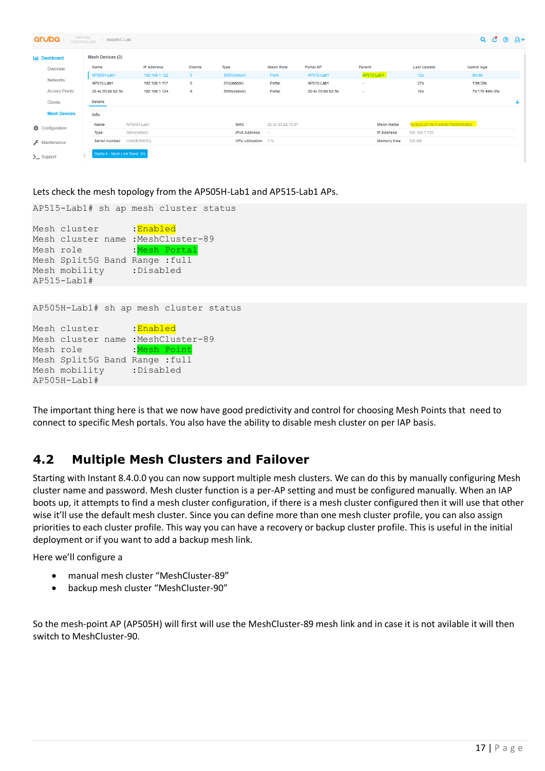| aruba                  | <b>VIRTUAL</b><br>⊚ മ∙<br>$Q$ $C$<br>InstantVC-Lab<br><b>CONTROLLER</b> |                   |                |                     |                   |                   |             |                                 |                   |              |  |  |  |
|------------------------|-------------------------------------------------------------------------|-------------------|----------------|---------------------|-------------------|-------------------|-------------|---------------------------------|-------------------|--------------|--|--|--|
| <b>Lill</b> Dashboard  | <b>Mesh Devices (3)</b>                                                 |                   |                |                     |                   |                   |             |                                 |                   |              |  |  |  |
| Overview               | Name                                                                    | <b>IP Address</b> | <b>Clients</b> | Type                | <b>Mesh Role</b>  | Portal AP         | Parent      | <b>Last Update</b>              | <b>Uplink Age</b> |              |  |  |  |
|                        | AP505H-Lab1                                                             | 192.168.1.122     | $\overline{0}$ | 505H(indoor)        | Point             | AP515-Lab1        | AP515-Lab1  | 12s                             | 8m:8s             |              |  |  |  |
| <b>Networks</b>        | AP515-Lab1                                                              | 192.168.1.117     | $\bullet$      | 515(indoor)         | Portal            | AP515-Lab1        | $\sim$      | <b>27s</b>                      | 13m:29s           |              |  |  |  |
| <b>Access Points</b>   | 20:4c:03:b6:b2:5b                                                       | 192.168.1.124     | 9              | 505H(indoor)        | Portal            | 20:4c:03:b6:b2:5b | $\sim$      | 16s                             | 7d:17h:44m:35s    |              |  |  |  |
| Clients                | Details                                                                 |                   |                |                     |                   |                   |             |                                 |                   | $\downarrow$ |  |  |  |
| <b>Mesh Devices</b>    | Info                                                                    |                   |                |                     |                   |                   |             |                                 |                   |              |  |  |  |
| Configuration          | Name                                                                    | AP505H-Lab1       |                | MAC                 | 20:4c:03:b2:75:97 |                   | Mesh Name   | 76c9cbc2d1467c44b4b7f50b906d00c |                   |              |  |  |  |
|                        | Type                                                                    | 505H(indoor)      |                | <b>IPv6 Address</b> | $\sim$            |                   | IP Address  | 192.168.1.122                   |                   |              |  |  |  |
| $\epsilon$ Maintenance | Serial number                                                           | CNK6KSM03Q        |                | CPU utilization 3 % |                   |                   | Memory free | 528 MB                          |                   |              |  |  |  |
| $\sum$ Support         | Radio 0 - Mesh Link Band: 5G                                            |                   |                |                     |                   |                   |             |                                 |                   |              |  |  |  |

Lets check the mesh topology from the AP505H-Lab1 and AP515-Lab1 APs.

AP515-Lab1# sh ap mesh cluster status

| Mesh cluster                       | :Enabled                               |
|------------------------------------|----------------------------------------|
| Mesh cluster name : MeshCluster-89 |                                        |
| Mesh role                          | :Mesh Portal                           |
| Mesh Split5G Band                  | Range : full                           |
| Mesh mobility : Disabled           |                                        |
| $AP515-Lab1#$                      |                                        |
|                                    |                                        |
|                                    | AP505H-Lab1# sh ap mesh cluster status |
| Mesh cluster                       | :Enabled                               |
| Mesh cluster name : MeshCluster-89 |                                        |
| Mesh role                          | :Mesh Point                            |
| Mesh Split5G Band                  | Range : full                           |
| Mesh mobility : Disabled           |                                        |
| $AP505H-Lab1#$                     |                                        |

The important thing here is that we now have good predictivity and control for choosing Mesh Points that need to connect to specific Mesh portals. You also have the ability to disable mesh cluster on per IAP basis.

# <span id="page-16-0"></span>**4.2 Multiple Mesh Clusters and Failover**

Starting with Instant 8.4.0.0 you can now support multiple mesh clusters. We can do this by manually configuring Mesh cluster name and password. Mesh cluster function is a per-AP setting and must be configured manually. When an IAP boots up, it attempts to find a mesh cluster configuration, if there is a mesh cluster configured then it will use that other wise it'll use the default mesh cluster. Since you can define more than one mesh cluster profile, you can also assign priorities to each cluster profile. This way you can have a recovery or backup cluster profile. This is useful in the initial deployment or if you want to add a backup mesh link.

Here we'll configure a

- manual mesh cluster "MeshCluster-89"
- backup mesh cluster "MeshCluster-90"

So the mesh-point AP (AP505H) will first will use the MeshCluster-89 mesh link and in case it is not avilable it will then switch to MeshCluster-90.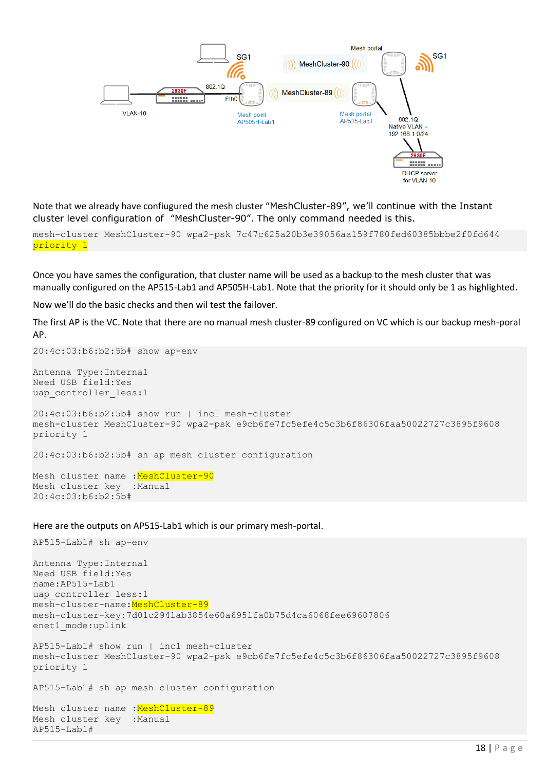

Note that we already have confiugured the mesh cluster "MeshCluster-89", we'll continue with the Instant cluster level configuration of "MeshCluster-90". The only command needed is this.

mesh-cluster MeshCluster-90 wpa2-psk 7c47c625a20b3e39056aa159f780fed60385bbbe2f0fd644 priority 1

Once you have sames the configuration, that cluster name will be used as a backup to the mesh cluster that was manually configured on the AP515-Lab1 and AP505H-Lab1. Note that the priority for it should only be 1 as highlighted.

Now we'll do the basic checks and then wil test the failover.

The first AP is the VC. Note that there are no manual mesh cluster-89 configured on VC which is our backup mesh-poral AP.

20:4c:03:b6:b2:5b# show ap-env

Antenna Type:Internal Need USB field:Yes uap controller less:1

AP515-Lab1#

20:4c:03:b6:b2:5b# show run | incl mesh-cluster mesh-cluster MeshCluster-90 wpa2-psk e9cb6fe7fc5efe4c5c3b6f86306faa50022727c3895f9608 priority 1

20:4c:03:b6:b2:5b# sh ap mesh cluster configuration

Mesh cluster name : MeshCluster-90 Mesh cluster key :Manual 20:4c:03:b6:b2:5b#

Here are the outputs on AP515-Lab1 which is our primary mesh-portal.

```
AP515-Lab1# sh ap-env
Antenna Type:Internal
Need USB field:Yes
name:AP515-Lab1
uap controller less:1
mesh-cluster-name: MeshCluster-89
mesh-cluster-key:7d01c2941ab3854e60a6951fa0b75d4ca6068fee69607806
enet1_mode:uplink
AP515-Lab1# show run | incl mesh-cluster
mesh-cluster MeshCluster-90 wpa2-psk e9cb6fe7fc5efe4c5c3b6f86306faa50022727c3895f9608 
priority 1
AP515-Lab1# sh ap mesh cluster configuration
Mesh cluster name : MeshCluster-89
Mesh cluster key :Manual
```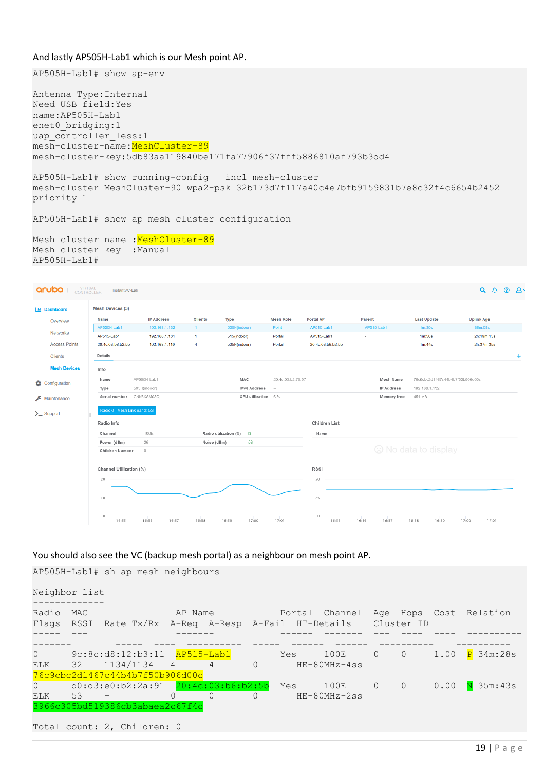### And lastly AP505H-Lab1 which is our Mesh point AP.

AP505H-Lab1# show ap-env

Antenna Type:Internal Need USB field:Yes name:AP505H-Lab1 enet0 bridging:1 uap controller less:1 mesh-cluster-name: MeshCluster-89 mesh-cluster-key:5db83aa119840be171fa77906f37fff5886810af793b3dd4

```
AP505H-Lab1# show running-config | incl mesh-cluster
mesh-cluster MeshCluster-90 wpa2-psk 32b173d7f117a40c4e7bfb9159831b7e8c32f4c6654b2452 
priority 1
```
AP505H-Lab1# show ap mesh cluster configuration

Mesh cluster name : MeshCluster-89 Mesh cluster key :Manual AP505H-Lab1#



You should also see the VC (backup mesh portal) as a neighbour on mesh point AP.

AP505H-Lab1# sh ap mesh neighbours

| Neighbor list          |     |                             |                                                             |          |            |     |                                                                                   |                |                |      |                        |
|------------------------|-----|-----------------------------|-------------------------------------------------------------|----------|------------|-----|-----------------------------------------------------------------------------------|----------------|----------------|------|------------------------|
| Radio                  | MAC |                             | AP Name                                                     |          |            |     | Portal Channel<br>Flags RSSI Rate Tx/Rx A-Req A-Resp A-Fail HT-Details Cluster ID |                |                |      | Age Hops Cost Relation |
|                        |     |                             |                                                             |          |            |     |                                                                                   |                |                |      |                        |
| $\Omega$<br>ELK        |     |                             | $32 \t1134/1134 \t4 \t4$<br>76c9cbc2d1467c44b4b7f50b906d00c |          | $\bigcirc$ | Yes | 100E<br>$HE-80MHz-4ss$                                                            | $\circ$        | $\overline{0}$ |      | 1.00 P 34m:28s         |
| $\Omega$<br><b>ELK</b> | 53  |                             | $\Omega$                                                    | $\Omega$ | $\bigcap$  |     | 100E 0<br>$HE-80MHz-2ss$                                                          | $\overline{0}$ |                | 0.00 | N 35m:43s              |
|                        |     |                             | 3966c305bd519386cb3abaea2c67f4c                             |          |            |     |                                                                                   |                |                |      |                        |
|                        |     | Total count: 2, Children: 0 |                                                             |          |            |     |                                                                                   |                |                |      |                        |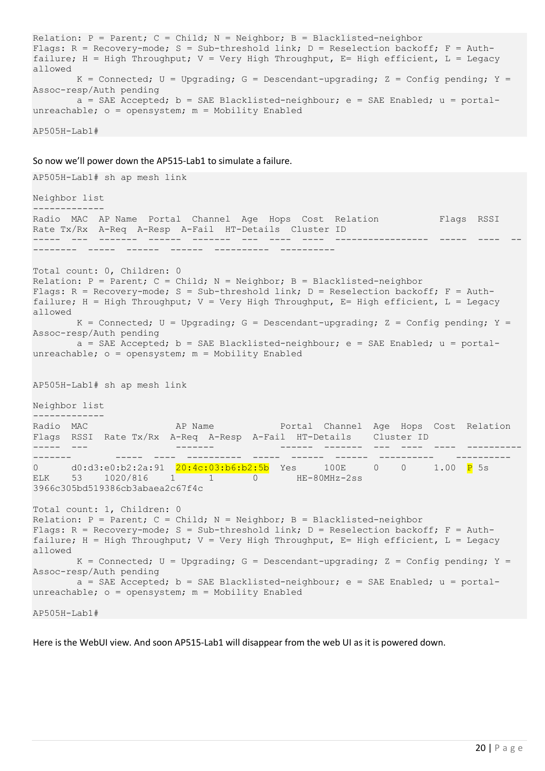```
Relation: P = Parent; C = Child; N = Neichbor; B = Blacklisted-neichborFlags: R = Recovery-mode; S = Sub-threshold link; D = Reselection backoff; F = Auth-
failure; H = High Throughput; V = Very High Throughput; E = High efficient; L = Legacyallowed
      K = Connected; U = Upgrading; G = Descendant-upgrading; Z = Config pending; Y =Assoc-resp/Auth pending
       a = SAE Accepted; b = SAE Blacklisted-neighbour; e = SAE Enabled; u = portal-
unreachable; o = opensystem; m = Mobility Enabled
```
AP505H-Lab1#

So now we'll power down the AP515-Lab1 to simulate a failure.

```
AP505H-Lab1# sh ap mesh link
Neighbor list
-------------
Radio MAC AP Name Portal Channel Age Hops Cost Relation Flags RSSI
Rate Tx/Rx A-Req A-Resp A-Fail HT-Details Cluster ID
----- --- ------- ------ ------- --- ---- ---- ----------------- ----- ---- --
-------- ----- ------ ------ ---------- ----------
Total count: 0, Children: 0
Relation: P = Parent; C = Child; N = Neighbour; B = Blacklisted-neighborFlags: R = Recovery-mode; S = Sub-threshold link; D = Research backoff; F = Author-failure; H = High Throughput; V = Very High Throughput; E = High efficient; L = Legacyallowed
      K = Connected; U = Upgrading; G = Descendant-upgrading; Z = Config pending; Y =
Assoc-resp/Auth pending
      a = SAE Accepted; b = SAE Blacklisted-neighbour; e = SAE Enabled; u = portal-
unreachable; o = opensystem; m = Mobility EnabledAP505H-Lab1# sh ap mesh link
Neighbor list
-------------
Radio MAC AP Name AP Name Portal Channel Age Hops Cost Relation
Flags RSSI Rate Tx/Rx A-Req A-Resp A-Fail HT-Details Cluster ID
----- --- ------- ------ ------- --- ---- ---- ----------
------- ----- ---- ---------- ----- ------ ------ ---------- ----------
0 d0:d3:e0:b2:2a:91 20:4c:03:b6:b2:5b Yes 100E 0 0 1.00 P 5s 
ELK 53 1020/816 1 1 0 HE-80MHz-2ss 
3966c305bd519386cb3abaea2c67f4c
Total count: 1, Children: 0
Relation: P = Parent; C = Child; N = Neighbour; B = Blacklisted-neighborFlags: R = Recovery-mode; S = Sub-threshold link; D = Reselection backoff; F = Auth-
failure; H = High Throughput; V = Very High Throughput; E= High efficient; L = Legacyallowed
      K = Connected; U = Upgrading; G = Descendant-upgrading; Z = Config pending; Y =Assoc-resp/Auth pending
      a = SAE Accepted; b = SAE Blacklisted-neighbour; e = SAE Enabled; u = portal-
unreachable; o = opensystem; m = Mobility Enabled
```
AP505H-Lab1#

Here is the WebUI view. And soon AP515-Lab1 will disappear from the web UI as it is powered down.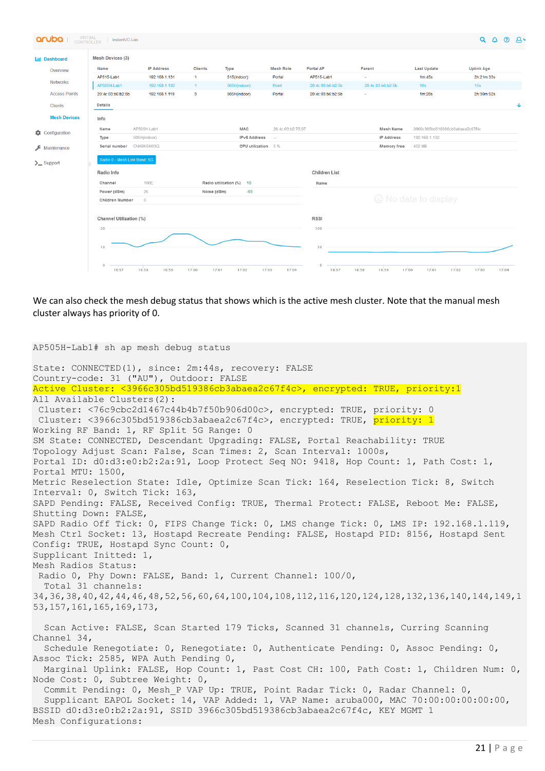| VIRTUAL<br>CONTROLLER<br>aruba   | InstantVC-Lab                             |                   |                |                          |                      |                   |                         |                                 | $Q \triangle Q$         |  |
|----------------------------------|-------------------------------------------|-------------------|----------------|--------------------------|----------------------|-------------------|-------------------------|---------------------------------|-------------------------|--|
| <b>Idd</b> Dashboard             | <b>Mesh Devices (3)</b>                   |                   |                |                          |                      |                   |                         |                                 |                         |  |
| Overview                         | Name                                      | <b>IP Address</b> | <b>Clients</b> | Type                     | <b>Mesh Role</b>     | Portal AP         | Parent                  | <b>Last Update</b>              | <b>Uplink Age</b>       |  |
| <b>Networks</b>                  | AP515-Lab1                                | 192.168.1.131     | 1.             | 515(indoor)              | Portal               | AP515-Lab1        | $\sim$                  | 1m:45s                          | 2h:21m:33s              |  |
|                                  | AP505H-Lab1                               | 192.168.1.132     | $1 -$          | 505H(indoor)             | Point                | 20:4c:03:b6:b2:5b | 20:4c:03:b6:b2:5b       | 10 <sub>s</sub>                 | 15s                     |  |
| <b>Access Points</b>             | 20:4c:03:b6:b2:5b                         | 192.168.1.119     | $\mathbf{3}$   | 505H(indoor)             | Portal               | 20:4c:03:b6:b2:5b | $\sim$                  | 1m:28s                          | 2h:39m:52s              |  |
| <b>Clients</b>                   | Details                                   |                   |                |                          |                      |                   |                         |                                 |                         |  |
| <b>Mesh Devices</b>              | Info                                      |                   |                |                          |                      |                   |                         |                                 |                         |  |
|                                  | Name                                      | AP505H-Lab1       |                | MAC                      | 20:4c:03:b2:75:97    |                   | Mesh Name               | 3966c305bd519386cb3abaea2c67f4c |                         |  |
| Configuration                    | Type                                      | 505H(indoor)      |                | <b>IPv6 Address</b>      | $\sim$               |                   | IP Address              | 192.168.1.132                   |                         |  |
| $\sqrt{\phantom{a}}$ Maintenance | Serial number                             | CNK6KSM03Q        |                | CPU utilization 5 %      |                      |                   | Memory free             | 452 MB                          |                         |  |
| $\sum$ Support                   | Radio 0 - Mesh Link Band: 5G              |                   |                |                          |                      |                   |                         |                                 |                         |  |
|                                  | Radio Info                                |                   |                |                          |                      | Children List     |                         |                                 |                         |  |
|                                  | Channel                                   | 100E              |                | Radio utilization (%) 10 |                      | Name              |                         |                                 |                         |  |
|                                  | $-93$<br>Power (dBm)<br>26<br>Noise (dBm) |                   |                |                          |                      |                   |                         |                                 |                         |  |
|                                  | $\circ$<br>Children Number                |                   |                |                          | C No data to display |                   |                         |                                 |                         |  |
|                                  |                                           |                   |                |                          |                      |                   |                         |                                 |                         |  |
|                                  | Channel Utilization (%)                   |                   |                |                          |                      | RSSI              |                         |                                 |                         |  |
|                                  | 20                                        |                   |                |                          |                      | 100               |                         |                                 |                         |  |
|                                  |                                           |                   |                |                          |                      |                   |                         |                                 |                         |  |
|                                  | 10                                        |                   |                |                          |                      | 50                |                         |                                 |                         |  |
|                                  |                                           |                   |                |                          |                      |                   |                         |                                 |                         |  |
|                                  | $\mathbb O$<br>16:57                      | 16:58<br>16:59    | 17:00          | 17:01<br>17:02           | 17:04<br>17:03       | $\circ$<br>16:57  | 16:59<br>17:00<br>16:58 | 17:01                           | 17:04<br>17:03<br>17:02 |  |

We can also check the mesh debug status that shows which is the active mesh cluster. Note that the manual mesh cluster always has priority of 0.

```
AP505H-Lab1# sh ap mesh debug status
State: CONNECTED(1), since: 2m:44s, recovery: FALSE
Country-code: 31 ("AU"), Outdoor: FALSE
Active Cluster: <3966c305bd519386cb3abaea2c67f4c>, encrypted: TRUE, priority:1
All Available Clusters(2):
 Cluster: <76c9cbc2d1467c44b4b7f50b906d00c>, encrypted: TRUE, priority: 0
 Cluster: <3966c305bd519386cb3abaea2c67f4c>, encrypted: TRUE, priority: 1
Working RF Band: 1, RF Split 5G Range: 0
SM State: CONNECTED, Descendant Upgrading: FALSE, Portal Reachability: TRUE
Topology Adjust Scan: False, Scan Times: 2, Scan Interval: 1000s,
Portal ID: d0:d3:e0:b2:2a:91, Loop Protect Seq NO: 9418, Hop Count: 1, Path Cost: 1, 
Portal MTU: 1500,
Metric Reselection State: Idle, Optimize Scan Tick: 164, Reselection Tick: 8, Switch 
Interval: 0, Switch Tick: 163,
SAPD Pending: FALSE, Received Config: TRUE, Thermal Protect: FALSE, Reboot Me: FALSE, 
Shutting Down: FALSE,
SAPD Radio Off Tick: 0, FIPS Change Tick: 0, LMS change Tick: 0, LMS IP: 192.168.1.119,
Mesh Ctrl Socket: 13, Hostapd Recreate Pending: FALSE, Hostapd PID: 8156, Hostapd Sent 
Config: TRUE, Hostapd Sync Count: 0,
Supplicant Initted: 1,
Mesh Radios Status:
 Radio 0, Phy Down: FALSE, Band: 1, Current Channel: 100/0,
   Total 31 channels: 
34,36,38,40,42,44,46,48,52,56,60,64,100,104,108,112,116,120,124,128,132,136,140,144,149,1
53,157,161,165,169,173,
   Scan Active: FALSE, Scan Started 179 Ticks, Scanned 31 channels, Curring Scanning 
Channel 34,
   Schedule Renegotiate: 0, Renegotiate: 0, Authenticate Pending: 0, Assoc Pending: 0, 
Assoc Tick: 2585, WPA Auth Pending 0,
  Marginal Uplink: FALSE, Hop Count: 1, Past Cost CH: 100, Path Cost: 1, Children Num: 0,
Node Cost: 0, Subtree Weight: 0,
   Commit Pending: 0, Mesh_P VAP Up: TRUE, Point Radar Tick: 0, Radar Channel: 0,
   Supplicant EAPOL Socket: 14, VAP Added: 1, VAP Name: aruba000, MAC 70:00:00:00:00:00, 
BSSID d0:d3:e0:b2:2a:91, SSID 3966c305bd519386cb3abaea2c67f4c, KEY MGMT 1
Mesh Configurations:
```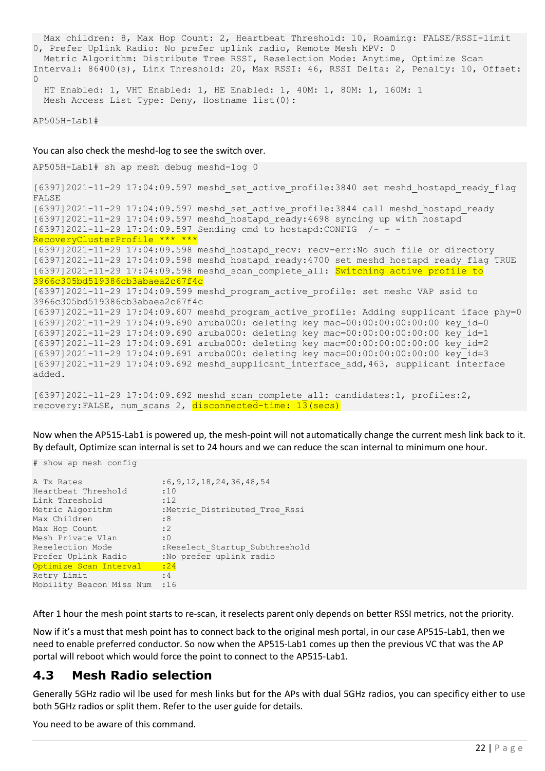Max children: 8, Max Hop Count: 2, Heartbeat Threshold: 10, Roaming: FALSE/RSSI-limit 0, Prefer Uplink Radio: No prefer uplink radio, Remote Mesh MPV: 0 Metric Algorithm: Distribute Tree RSSI, Reselection Mode: Anytime, Optimize Scan Interval: 86400(s), Link Threshold: 20, Max RSSI: 46, RSSI Delta: 2, Penalty: 10, Offset:  $\Omega$  HT Enabled: 1, VHT Enabled: 1, HE Enabled: 1, 40M: 1, 80M: 1, 160M: 1 Mesh Access List Type: Deny, Hostname list(0):

AP505H-Lab1#

You can also check the meshd-log to see the switch over.

AP505H-Lab1# sh ap mesh debug meshd-log 0

[6397]2021-11-29 17:04:09.597 meshd\_set\_active\_profile:3840 set meshd\_hostapd\_ready\_flag FALSE [6397]2021-11-29 17:04:09.597 meshd\_set\_active\_profile:3844 call meshd\_hostapd\_ready [6397]2021-11-29 17:04:09.597 meshd\_hostapd\_ready:4698 syncing up with hostapd [6397]2021-11-29 17:04:09.597 Sending cmd to hostapd:CONFIG /- - - RecoveryClusterProfile \*\*\* \*\*\* [6397]2021-11-29 17:04:09.598 meshd\_hostapd\_recv: recv-err:No such file or directory [6397]2021-11-29 17:04:09.598 meshd\_hostapd\_ready:4700 set meshd\_hostapd\_ready\_flag TRUE [6397]2021-11-29 17:04:09.598 meshd scan complete all: Switching active profile to 3966c305bd519386cb3abaea2c67f4c [6397]2021-11-29 17:04:09.599 meshd\_program\_active\_profile: set meshc VAP ssid to 3966c305bd519386cb3abaea2c67f4c [6397]2021-11-29 17:04:09.607 meshd\_program\_active\_profile: Adding supplicant iface phy=0 [6397]2021-11-29 17:04:09.690 aruba000: deleting key mac=00:00:00:00:00:00 key\_id=0 [6397]2021-11-29 17:04:09.690 aruba000: deleting key mac=00:00:00:00:00:00 key\_id=1 [6397]2021-11-29 17:04:09.691 aruba000: deleting key mac=00:00:00:00:00:00 key\_id=2 [6397]2021-11-29 17:04:09.691 aruba000: deleting key mac=00:00:00:00:00:00 key\_id=3 [6397]2021-11-29 17:04:09.692 meshd\_supplicant\_interface\_add,463, supplicant interface added.

[6397]2021-11-29 17:04:09.692 meshd\_scan\_complete\_all: candidates:1, profiles:2, recovery:FALSE, num scans 2, disconnected-time: 13(secs)

Now when the AP515-Lab1 is powered up, the mesh-point will not automatically change the current mesh link back to it. By default, Optimize scan internal is set to 24 hours and we can reduce the scan internal to minimum one hour.

# show ap mesh config A Tx Rates : 6, 9, 12, 18, 24, 36, 48, 54 Heartbeat Threshold :10 Link Threshold :12 Metric Algorithm :Metric Distributed Tree Rssi Max Children : 8 Max Hop Count :2 Mesh Private Vlan : 0 Reselection Mode :Reselect Startup Subthreshold Prefer Uplink Radio :No prefer uplink radio Optimize Scan Interval :24 Retry Limit : 4 Mobility Beacon Miss Num :16

After 1 hour the mesh point starts to re-scan, it reselects parent only depends on better RSSI metrics, not the priority.

Now if it's a must that mesh point has to connect back to the original mesh portal, in our case AP515-Lab1, then we need to enable preferred conductor. So now when the AP515-Lab1 comes up then the previous VC that was the AP portal will reboot which would force the point to connect to the AP515-Lab1.

### <span id="page-21-0"></span>**4.3 Mesh Radio selection**

Generally 5GHz radio wil lbe used for mesh links but for the APs with dual 5GHz radios, you can specificy either to use both 5GHz radios or split them. Refer to the user guide for details.

You need to be aware of this command.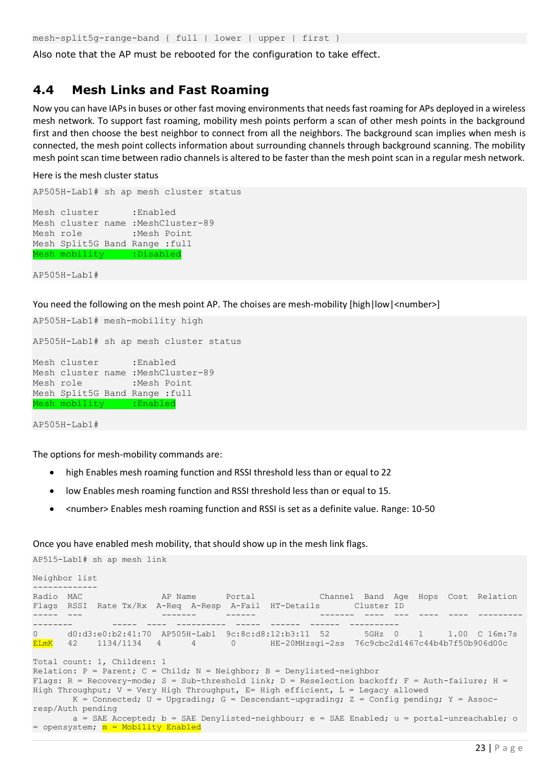mesh-split5g-range-band { full | lower | upper | first }

Also note that the AP must be rebooted for the configuration to take effect.

### <span id="page-22-0"></span>**4.4 Mesh Links and Fast Roaming**

Now you can have IAPs in buses or other fast moving environments that needs fast roaming for APs deployed in a wireless mesh network. To support fast roaming, mobility mesh points perform a scan of other mesh points in the background first and then choose the best neighbor to connect from all the neighbors. The background scan implies when mesh is connected, the mesh point collects information about surrounding channels through background scanning. The mobility mesh point scan time between radio channels is altered to be faster than the mesh point scan in a regular mesh network.

Here is the mesh cluster status

AP505H-Lab1# sh ap mesh cluster status Mesh cluster :Enabled Mesh cluster name :MeshCluster-89 Mesh role :Mesh Point Mesh Split5G Band Range :full Mesh mobility :Disabled

AP505H-Lab1#

You need the following on the mesh point AP. The choises are mesh-mobility [high|low|<number>]

```
AP505H-Lab1# mesh-mobility high
AP505H-Lab1# sh ap mesh cluster status
Mesh cluster :Enabled
Mesh cluster name :MeshCluster-89
Mesh role :Mesh Point
Mesh Split5G Band Range :full
Mesh mobility :Enabled
```
AP505H-Lab1#

The options for mesh-mobility commands are:

- high Enables mesh roaming function and RSSI threshold less than or equal to 22
- low Enables mesh roaming function and RSSI threshold less than or equal to 15.
- <number> Enables mesh roaming function and RSSI is set as a definite value. Range: 10-50

Once you have enabled mesh mobility, that should show up in the mesh link flags.

AP515-Lab1# sh ap mesh link

```
Neighbor list
-------------
Radio MAC AP Name Portal Channel Band Age Hops Cost Relation
Flags RSSI Rate Tx/Rx A-Req A-Resp A-Fail HT-Details Cluster ID
----- --- ------- ------ ------- ---- --- ---- ---- ---------
                    -------- ----- ---- ---------- ----- ------ ------ ---------- 
0 d0:d3:e0:b2:41:70 AP505H-Lab1 9c:8c:d8:12:b3:11 52 5GHz 0 1 1.00 C 16m:7s 
ELmK 42 1134/1134 4 4 0 HE-20MHzsgi-2ss 76c9cbc2d1467c44b4b7f50b906d00c
Total count: 1, Children: 1
Relation: P = Parent; C = Child; N = Neighbour; B = Denylisted-neighborFlags: R = Recovery-mode; S = Sub-threshold link; D = Reselection backoff; F = Auth-failure; H =
High Throughput; V = Very High Throughput, E= High efficient, L = Legacy allowed
      K = Connected; U = Upgrading; G = Descendant-upgrading; Z = Config pending; Y = Assoc-
resp/Auth pending
      a = SAE Accepted; b = SAE Denylisted-neighbour; e = SAE Enabled; u = portal-unreachable; o
= opensystem; m = Mobility Enabled
```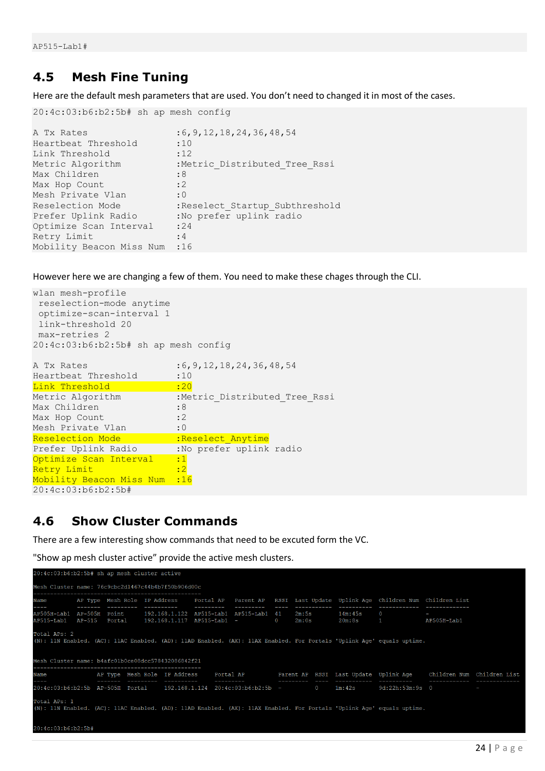### <span id="page-23-0"></span>**4.5 Mesh Fine Tuning**

Here are the default mesh parameters that are used. You don't need to changed it in most of the cases.

```
20:4c:03:b6:b2:5b# sh ap mesh config
A Tx Rates : 6, 9, 12, 18, 24, 36, 48, 54
Heartbeat Threshold :10
Link Threshold :12
Metric Algorithm :Metric Distributed Tree Rssi
Max Children : 8
Max Hop Count :2
Mesh Private Vlan : 0
Reselection Mode :Reselect Startup Subthreshold
Prefer Uplink Radio :No prefer uplink radio
Optimize Scan Interval : 24
Retry Limit : 4
Mobility Beacon Miss Num :16
```
However here we are changing a few of them. You need to make these chages through the CLI.

| wlan mesh-profile                    |                                |
|--------------------------------------|--------------------------------|
| reselection-mode anytime             |                                |
| optimize-scan-interval 1             |                                |
| link-threshold 20                    |                                |
| max-retries 2                        |                                |
| 20:4c:03:b6:b2:5b# sh ap mesh config |                                |
|                                      |                                |
| A Tx Rates                           | : 6, 9, 12, 18, 24, 36, 48, 54 |
| Heartbeat Threshold                  | :10                            |
| Link Threshold                       | : 20                           |
| Metric Algorithm                     | :Metric Distributed Tree Rssi  |
| Max Children                         | :8                             |
| Max Hop Count                        | : 2                            |
| Mesh Private Vlan                    | : 0                            |
| Reselection Mode                     | :Reselect Anytime              |
| Prefer Uplink Radio                  | :No prefer uplink radio        |
| Optimize Scan Interval               | :1                             |
| Retry Limit                          | $\cdot$ 2                      |
| Mobility Beacon Miss Num             | :16                            |
| 20:4c:03:b6:b2:5b#                   |                                |
|                                      |                                |

## <span id="page-23-1"></span>**4.6 Show Cluster Commands**

There are a few interesting show commands that need to be excuted form the VC.

"Show ap mesh cluster active" provide the active mesh clusters.

```
0:4c:03:b6:b2:5b# sh ap mesh cluster active
Mesh Cluster name: 76c9cbc2d1467c44b4b7f50b906d00c
           AP Type Mesh Role IP Address - Portal AP - Parent AP - RSSI Last Update Uplink Age Children Num Children List
Jame
.<br>AP505H-Lab1 AP-505H Point    192.168.1.122 AP515-Lab1 AP515-Lab1 41<br>AP515-Lab1   AP-515  Portal   192.168.1.117 AP515-Lab1 -            0
                                                                                   2m:5s14m:45sAP505H-Lab1
                                                                                   2m:0s20m:8sTotal APs: 2<br>(N): 11N Enabled. (AC): 11AC Enabled. (AD): 11AD Enabled. (AX): 11AX Enabled. For Portals 'Uplink Aqe' equals uptime.
Mesh Cluster name: b4afc01b0ce08dcc578432086842f21
.<br>Jame
                   AP Type Mesh Role IP Address
                                                                              Parent AP RSSI Last Update Uplink Age
                                                         Portal AP
                                                                                                                               Children Num Children List
20:4c:03:b6:b2:5b AP-505H Portal  192.168.1.124  20:4c:03:b6:b2:5b -
                                                                                                1m:42s9d:22h:53m:9s = 0ntal APs: 1
.<br>(N): 11N Enabled. (AC): 11AC Enabled. (AD): 11AD Enabled. (AX): 11AX Enabled. For Portals 'Uplink Age' equals uptime.
20:4c:03:b6:b2:5b#
```